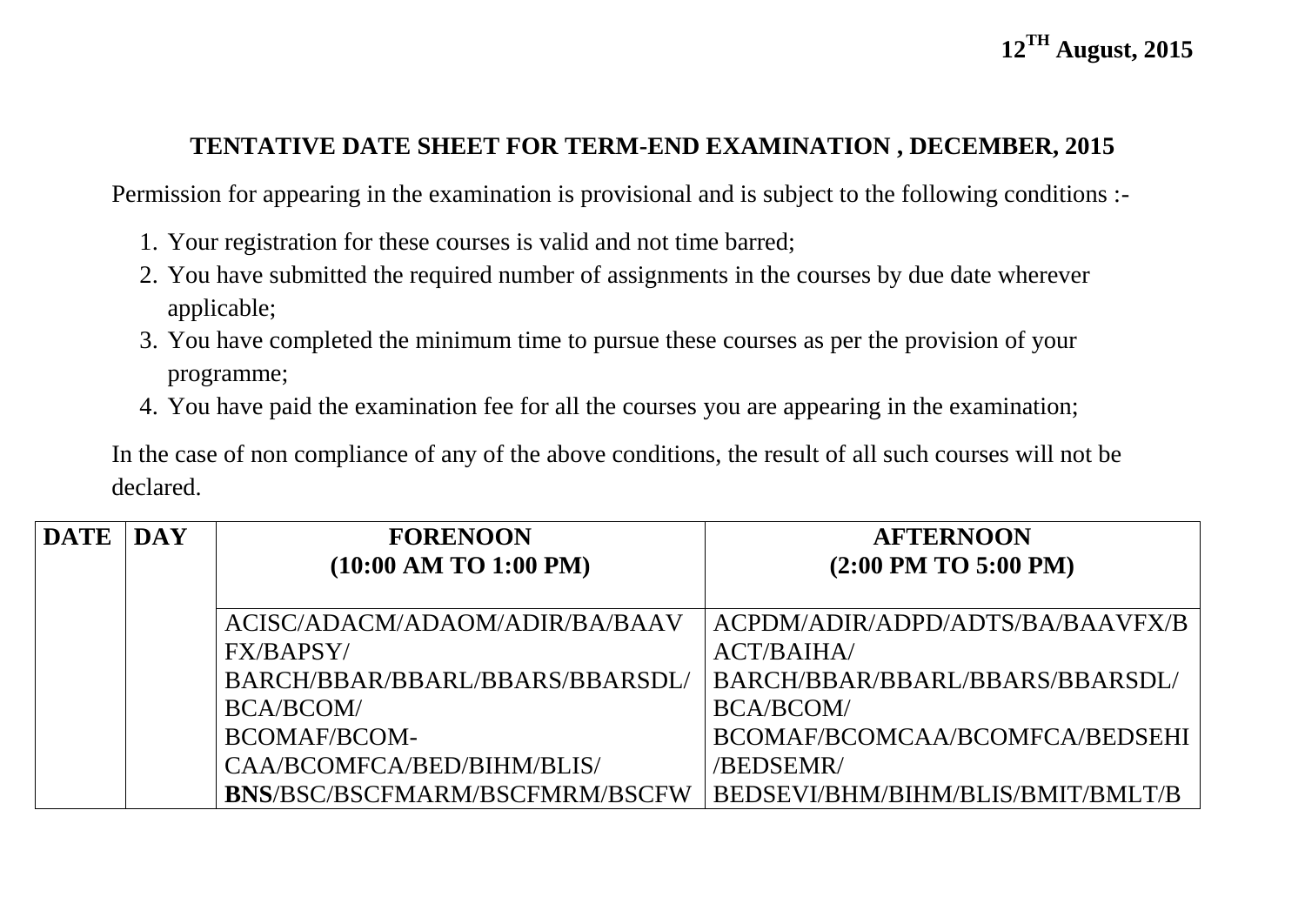## **TENTATIVE DATE SHEET FOR TERM-END EXAMINATION , DECEMBER, 2015**

Permission for appearing in the examination is provisional and is subject to the following conditions :-

- 1. Your registration for these courses is valid and not time barred;
- 2. You have submitted the required number of assignments in the courses by due date wherever applicable;
- 3. You have completed the minimum time to pursue these courses as per the provision of your programme;
- 4. You have paid the examination fee for all the courses you are appearing in the examination;

In the case of non compliance of any of the above conditions, the result of all such courses will not be declared.

| <b>DATE</b> | <b>DAY</b> | <b>FORENOON</b>                 | <b>AFTERNOON</b>                  |
|-------------|------------|---------------------------------|-----------------------------------|
|             |            | $(10:00$ AM TO $1:00$ PM)       | $(2:00$ PM TO 5:00 PM)            |
|             |            |                                 |                                   |
|             |            | ACISC/ADACM/ADAOM/ADIR/BA/BAAV  | ACPDM/ADIR/ADPD/ADTS/BA/BAAVFX/B  |
|             |            | FX/BAPSY/                       | ACT/BAIHA/                        |
|             |            | BARCH/BBAR/BBARL/BBARS/BBARSDL/ | BARCH/BBAR/BBARL/BBARS/BBARSDL/   |
|             |            | <b>BCA/BCOM/</b>                | <b>BCA/BCOM/</b>                  |
|             |            | <b>BCOMAF/BCOM-</b>             | BCOMAF/BCOMCAA/BCOMFCA/BEDSEHI    |
|             |            | CAA/BCOMFCA/BED/BIHM/BLIS/      | /BEDSEMR/                         |
|             |            | BNS/BSC/BSCFMARM/BSCFMRM/BSCFW  | BEDSEVI/BHM/BIHM/BLIS/BMIT/BMLT/B |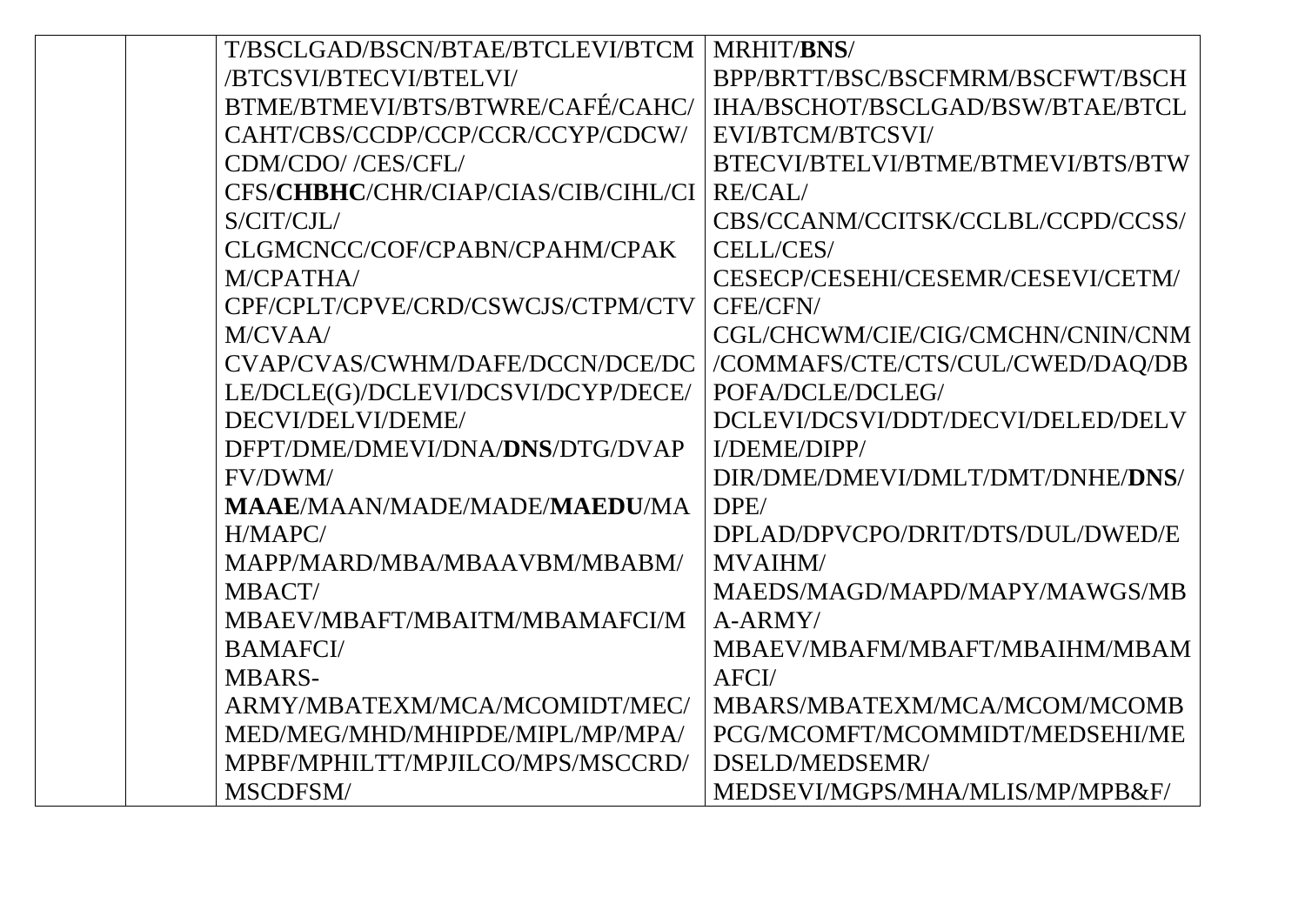| T/BSCLGAD/BSCN/BTAE/BTCLEVI/BTCM    | MRHIT/BNS/                        |
|-------------------------------------|-----------------------------------|
| /BTCSVI/BTECVI/BTELVI/              | BPP/BRTT/BSC/BSCFMRM/BSCFWT/BSCH  |
| BTME/BTMEVI/BTS/BTWRE/CAFÉ/CAHC/    | IHA/BSCHOT/BSCLGAD/BSW/BTAE/BTCL  |
| CAHT/CBS/CCDP/CCP/CCR/CCYP/CDCW/    | EVI/BTCM/BTCSVI/                  |
| CDM/CDO//CES/CFL/                   | BTECVI/BTELVI/BTME/BTMEVI/BTS/BTW |
| CFS/CHBHC/CHR/CIAP/CIAS/CIB/CIHL/CI | <b>RE/CAL/</b>                    |
| S/CIT/CJL/                          | CBS/CCANM/CCITSK/CCLBL/CCPD/CCSS/ |
| CLGMCNCC/COF/CPABN/CPAHM/CPAK       | CELL/CES/                         |
| M/CPATHA/                           | CESECP/CESEHI/CESEMR/CESEVI/CETM/ |
| CPF/CPLT/CPVE/CRD/CSWCJS/CTPM/CTV   | CFE/CFN/                          |
| M/CVAA/                             | CGL/CHCWM/CIE/CIG/CMCHN/CNIN/CNM  |
| CVAP/CVAS/CWHM/DAFE/DCCN/DCE/DC     | /COMMAFS/CTE/CTS/CUL/CWED/DAQ/DB  |
| LE/DCLE(G)/DCLEVI/DCSVI/DCYP/DECE/  | POFA/DCLE/DCLEG/                  |
| DECVI/DELVI/DEME/                   | DCLEVI/DCSVI/DDT/DECVI/DELED/DELV |
| DFPT/DME/DMEVI/DNA/DNS/DTG/DVAP     | I/DEME/DIPP/                      |
| FV/DWM/                             | DIR/DME/DMEVI/DMLT/DMT/DNHE/DNS/  |
| <b>MAAE/MAAN/MADE/MADE/MAEDU/MA</b> | DPE/                              |
| H/MAPC/                             | DPLAD/DPVCPO/DRIT/DTS/DUL/DWED/E  |
| MAPP/MARD/MBA/MBAAVBM/MBABM/        | <b>MVAIHM/</b>                    |
| MBACT/                              | MAEDS/MAGD/MAPD/MAPY/MAWGS/MB     |
| MBAEV/MBAFT/MBAITM/MBAMAFCI/M       | $A-ARMY/$                         |
| <b>BAMAFCI</b> /                    | MBAEV/MBAFM/MBAFT/MBAIHM/MBAM     |
| <b>MBARS-</b>                       | AFCI/                             |
| ARMY/MBATEXM/MCA/MCOMIDT/MEC/       | MBARS/MBATEXM/MCA/MCOM/MCOMB      |
| MED/MEG/MHD/MHIPDE/MIPL/MP/MPA/     | PCG/MCOMFT/MCOMMIDT/MEDSEHI/ME    |
| MPBF/MPHILTT/MPJILCO/MPS/MSCCRD/    | DSELD/MEDSEMR/                    |
| MSCDFSM/                            | MEDSEVI/MGPS/MHA/MLIS/MP/MPB&F/   |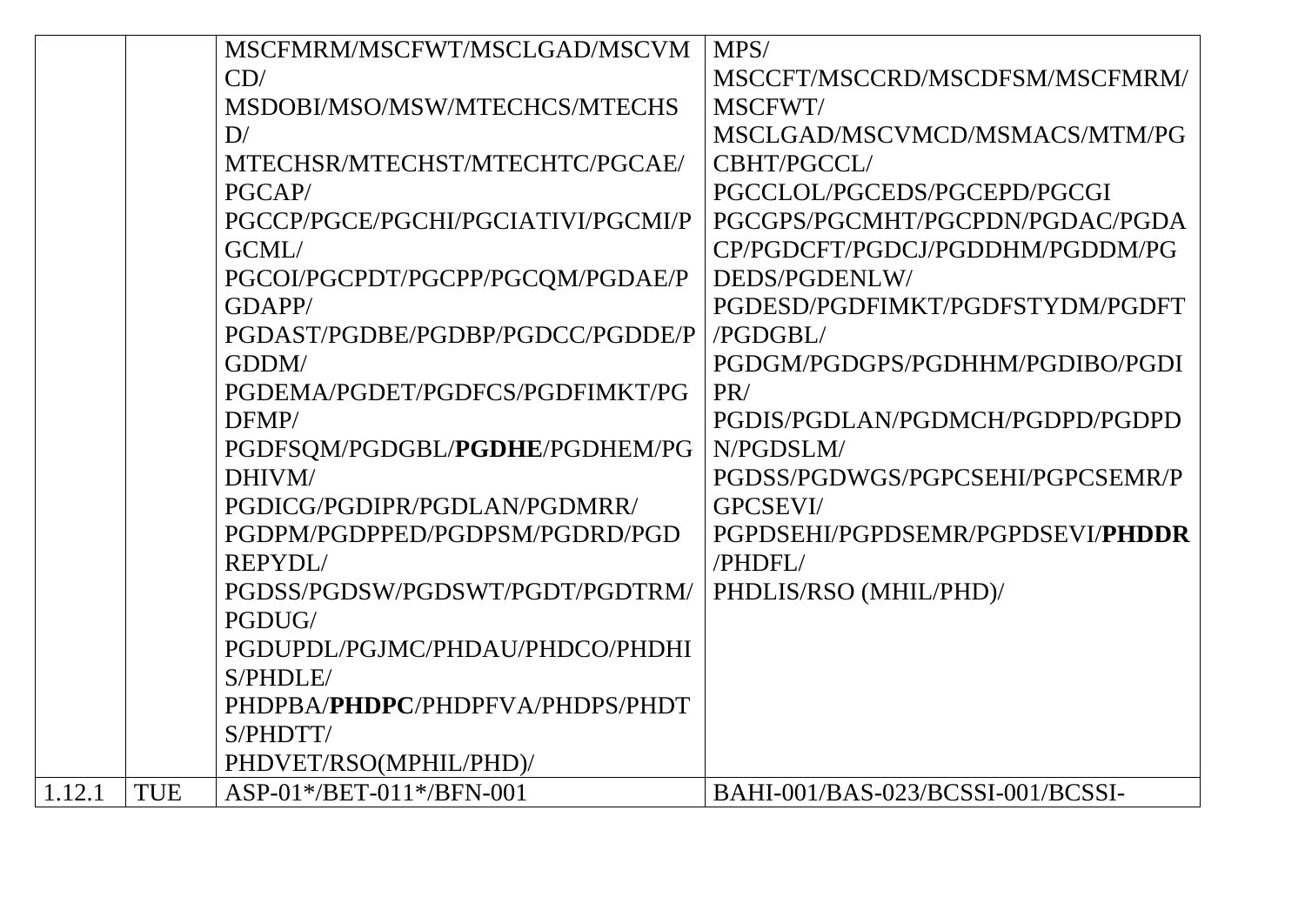|        |            | MSCFMRM/MSCFWT/MSCLGAD/MSCVM             | MPS/                              |
|--------|------------|------------------------------------------|-----------------------------------|
|        |            | CD/                                      | MSCCFT/MSCCRD/MSCDFSM/MSCFMRM/    |
|        |            | MSDOBI/MSO/MSW/MTECHCS/MTECHS            | MSCFWT/                           |
|        |            | D/                                       | MSCLGAD/MSCVMCD/MSMACS/MTM/PG     |
|        |            | MTECHSR/MTECHST/MTECHTC/PGCAE/           | CBHT/PGCCL/                       |
|        |            | PGCAP/                                   | PGCCLOL/PGCEDS/PGCEPD/PGCGI       |
|        |            | PGCCP/PGCE/PGCHI/PGCIATIVI/PGCMI/P       | PGCGPS/PGCMHT/PGCPDN/PGDAC/PGDA   |
|        |            | GCML/                                    | CP/PGDCFT/PGDCJ/PGDDHM/PGDDM/PG   |
|        |            | PGCOI/PGCPDT/PGCPP/PGCQM/PGDAE/P         | DEDS/PGDENLW/                     |
|        |            | GDAPP/                                   | PGDESD/PGDFIMKT/PGDFSTYDM/PGDFT   |
|        |            | PGDAST/PGDBE/PGDBP/PGDCC/PGDDE/P         | /PGDGBL/                          |
|        |            | GDDM/                                    | PGDGM/PGDGPS/PGDHHM/PGDIBO/PGDI   |
|        |            | PGDEMA/PGDET/PGDFCS/PGDFIMKT/PG          | PR/                               |
|        |            | DFMP/                                    | PGDIS/PGDLAN/PGDMCH/PGDPD/PGDPD   |
|        |            | PGDFSQM/PGDGBL/PGDHE/PGDHEM/PG           | N/PGDSLM/                         |
|        |            | DHIVM/                                   | PGDSS/PGDWGS/PGPCSEHI/PGPCSEMR/P  |
|        |            | PGDICG/PGDIPR/PGDLAN/PGDMRR/             | <b>GPCSEVI/</b>                   |
|        |            | PGDPM/PGDPPED/PGDPSM/PGDRD/PGD           | PGPDSEHI/PGPDSEMR/PGPDSEVI/PHDDR  |
|        |            | <b>REPYDL/</b>                           | /PHDFL/                           |
|        |            | PGDSS/PGDSW/PGDSWT/PGDT/PGDTRM/          | PHDLIS/RSO (MHIL/PHD)/            |
|        |            | PGDUG/                                   |                                   |
|        |            | PGDUPDL/PGJMC/PHDAU/PHDCO/PHDHI          |                                   |
|        |            | S/PHDLE/                                 |                                   |
|        |            | PHDPBA/ <b>PHDPC</b> /PHDPFVA/PHDPS/PHDT |                                   |
|        |            | S/PHDTT/                                 |                                   |
|        |            | PHDVET/RSO(MPHIL/PHD)/                   |                                   |
| 1.12.1 | <b>TUE</b> | ASP-01*/BET-011*/BFN-001                 | BAHI-001/BAS-023/BCSSI-001/BCSSI- |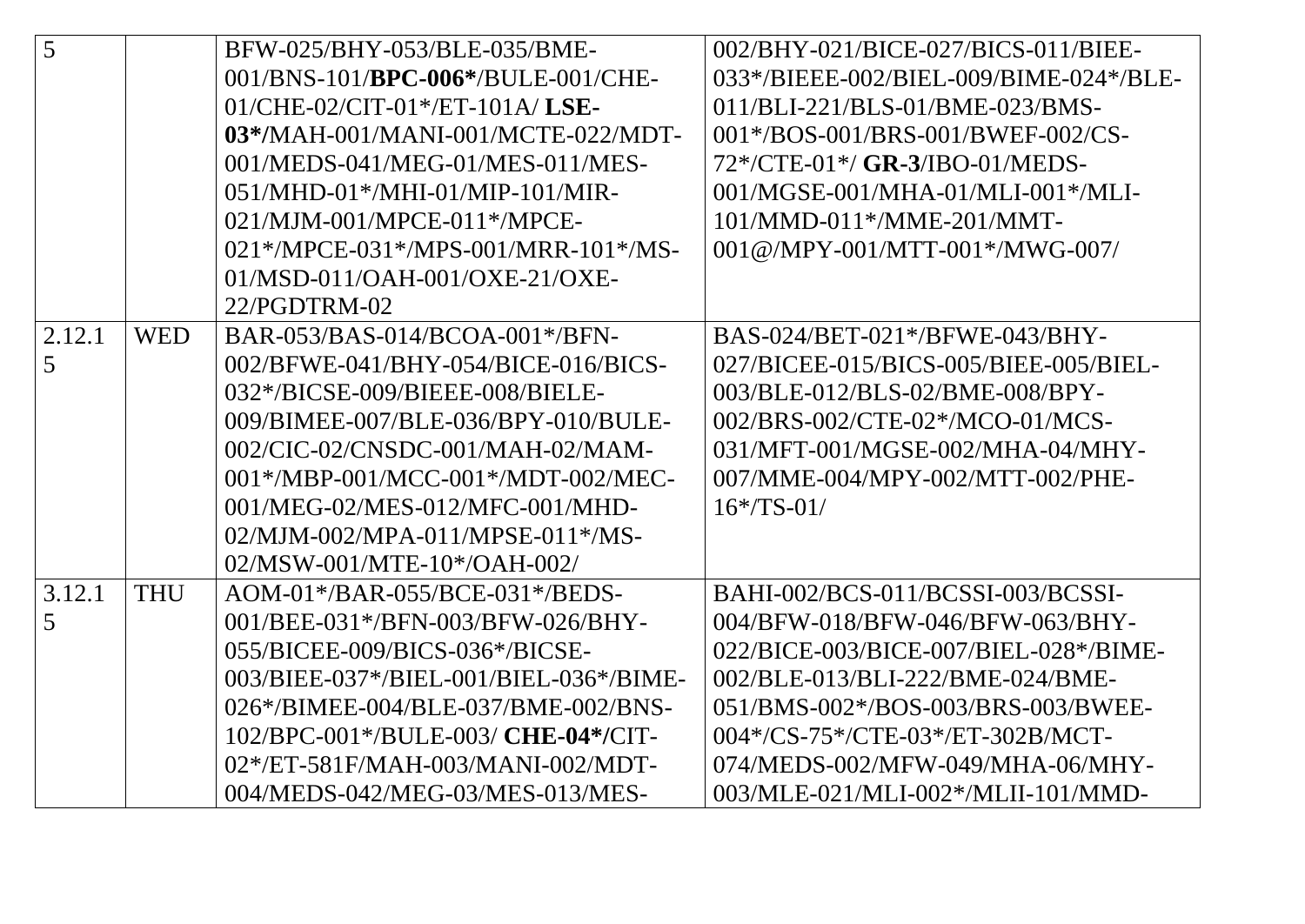| 5      |            | BFW-025/BHY-053/BLE-035/BME-               | 002/BHY-021/BICE-027/BICS-011/BIEE-    |
|--------|------------|--------------------------------------------|----------------------------------------|
|        |            | 001/BNS-101/ <b>BPC-006*/BULE-001/CHE-</b> | 033*/BIEEE-002/BIEL-009/BIME-024*/BLE- |
|        |            | $01/CHE-02/CIT-01*/ET-101A/LSE-$           | 011/BLI-221/BLS-01/BME-023/BMS-        |
|        |            | 03*/MAH-001/MANI-001/MCTE-022/MDT-         | 001*/BOS-001/BRS-001/BWEF-002/CS-      |
|        |            | 001/MEDS-041/MEG-01/MES-011/MES-           | 72*/CTE-01*/ GR-3/IBO-01/MEDS-         |
|        |            | $051/MHD-01*MHI-01/MIP-101/MIR-$           | 001/MGSE-001/MHA-01/MLI-001*/MLI-      |
|        |            | 021/MJM-001/MPCE-011*/MPCE-                | 101/MMD-011*/MME-201/MMT-              |
|        |            | 021*/MPCE-031*/MPS-001/MRR-101*/MS-        | 001@/MPY-001/MTT-001*/MWG-007/         |
|        |            | 01/MSD-011/OAH-001/OXE-21/OXE-             |                                        |
|        |            | 22/PGDTRM-02                               |                                        |
| 2.12.1 | <b>WED</b> | BAR-053/BAS-014/BCOA-001*/BFN-             | BAS-024/BET-021*/BFWE-043/BHY-         |
| 5      |            | 002/BFWE-041/BHY-054/BICE-016/BICS-        | 027/BICEE-015/BICS-005/BIEE-005/BIEL-  |
|        |            | 032*/BICSE-009/BIEEE-008/BIELE-            | 003/BLE-012/BLS-02/BME-008/BPY-        |
|        |            | 009/BIMEE-007/BLE-036/BPY-010/BULE-        | 002/BRS-002/CTE-02*/MCO-01/MCS-        |
|        |            | 002/CIC-02/CNSDC-001/MAH-02/MAM-           | 031/MFT-001/MGSE-002/MHA-04/MHY-       |
|        |            | 001*/MBP-001/MCC-001*/MDT-002/MEC-         | 007/MME-004/MPY-002/MTT-002/PHE-       |
|        |            | 001/MEG-02/MES-012/MFC-001/MHD-            | $16*/TS - 01/$                         |
|        |            | 02/MJM-002/MPA-011/MPSE-011*/MS-           |                                        |
|        |            | $02/MSW-001/MTE-10*/OAH-002/$              |                                        |
| 3.12.1 | <b>THU</b> | AOM-01*/BAR-055/BCE-031*/BEDS-             | BAHI-002/BCS-011/BCSSI-003/BCSSI-      |
| 5      |            | 001/BEE-031*/BFN-003/BFW-026/BHY-          | 004/BFW-018/BFW-046/BFW-063/BHY-       |
|        |            | 055/BICEE-009/BICS-036*/BICSE-             | 022/BICE-003/BICE-007/BIEL-028*/BIME-  |
|        |            | 003/BIEE-037*/BIEL-001/BIEL-036*/BIME-     | 002/BLE-013/BLI-222/BME-024/BME-       |
|        |            | 026*/BIMEE-004/BLE-037/BME-002/BNS-        | 051/BMS-002*/BOS-003/BRS-003/BWEE-     |
|        |            | 102/BPC-001*/BULE-003/ CHE-04*/CIT-        | $004*/CS$ -75*/CTE-03*/ET-302B/MCT-    |
|        |            | 02*/ET-581F/MAH-003/MANI-002/MDT-          | 074/MEDS-002/MFW-049/MHA-06/MHY-       |
|        |            | 004/MEDS-042/MEG-03/MES-013/MES-           | 003/MLE-021/MLI-002*/MLII-101/MMD-     |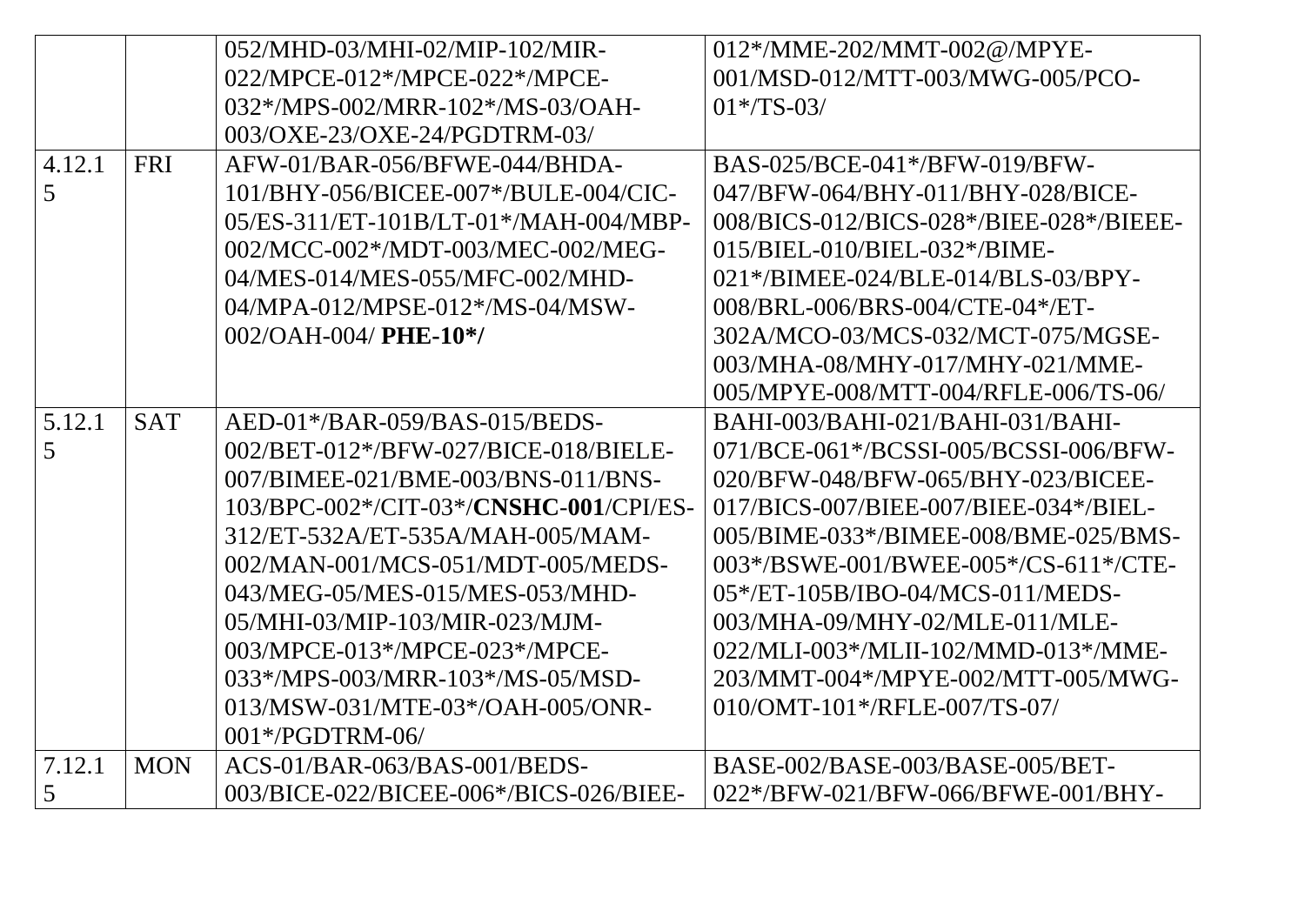|        |            | 052/MHD-03/MHI-02/MIP-102/MIR-         | 012*/MME-202/MMT-002@/MPYE-                             |
|--------|------------|----------------------------------------|---------------------------------------------------------|
|        |            | 022/MPCE-012*/MPCE-022*/MPCE-          | 001/MSD-012/MTT-003/MWG-005/PCO-                        |
|        |            | 032*/MPS-002/MRR-102*/MS-03/OAH-       | $01*/TS-03/$                                            |
|        |            | 003/OXE-23/OXE-24/PGDTRM-03/           |                                                         |
| 4.12.1 | <b>FRI</b> | AFW-01/BAR-056/BFWE-044/BHDA-          | BAS-025/BCE-041*/BFW-019/BFW-                           |
| 5      |            | 101/BHY-056/BICEE-007*/BULE-004/CIC-   | 047/BFW-064/BHY-011/BHY-028/BICE-                       |
|        |            | 05/ES-311/ET-101B/LT-01*/MAH-004/MBP-  | 008/BICS-012/BICS-028*/BIEE-028*/BIEEE-                 |
|        |            | 002/MCC-002*/MDT-003/MEC-002/MEG-      | $015/BIEL-010/BIEL-032*/BIME-$                          |
|        |            | 04/MES-014/MES-055/MFC-002/MHD-        | 021*/BIMEE-024/BLE-014/BLS-03/BPY-                      |
|        |            | 04/MPA-012/MPSE-012*/MS-04/MSW-        | 008/BRL-006/BRS-004/CTE-04*/ET-                         |
|        |            | $002/OAH-004/$ PHE-10 <sup>*</sup> /   | 302A/MCO-03/MCS-032/MCT-075/MGSE-                       |
|        |            |                                        | 003/MHA-08/MHY-017/MHY-021/MME-                         |
|        |            |                                        | 005/MPYE-008/MTT-004/RFLE-006/TS-06/                    |
| 5.12.1 | <b>SAT</b> | AED-01*/BAR-059/BAS-015/BEDS-          | BAHI-003/BAHI-021/BAHI-031/BAHI-                        |
| 5      |            | 002/BET-012*/BFW-027/BICE-018/BIELE-   | 071/BCE-061*/BCSSI-005/BCSSI-006/BFW-                   |
|        |            | 007/BIMEE-021/BME-003/BNS-011/BNS-     | 020/BFW-048/BFW-065/BHY-023/BICEE-                      |
|        |            | 103/BPC-002*/CIT-03*/CNSHC-001/CPI/ES- | 017/BICS-007/BIEE-007/BIEE-034*/BIEL-                   |
|        |            | 312/ET-532A/ET-535A/MAH-005/MAM-       | 005/BIME-033*/BIMEE-008/BME-025/BMS-                    |
|        |            | 002/MAN-001/MCS-051/MDT-005/MEDS-      | 003*/BSWE-001/BWEE-005*/CS-611*/CTE-                    |
|        |            | 043/MEG-05/MES-015/MES-053/MHD-        | 05*/ET-105B/IBO-04/MCS-011/MEDS-                        |
|        |            | 05/MHI-03/MIP-103/MIR-023/MJM-         | 003/MHA-09/MHY-02/MLE-011/MLE-                          |
|        |            | 003/MPCE-013*/MPCE-023*/MPCE-          | 022/MLI-003*/MLII-102/MMD-013*/MME-                     |
|        |            | 033*/MPS-003/MRR-103*/MS-05/MSD-       | 203/MMT-004*/MPYE-002/MTT-005/MWG-                      |
|        |            | 013/MSW-031/MTE-03*/OAH-005/ONR-       | $010$ /OMT- $101$ <sup>*</sup> /RFLE- $007$ /TS- $07$ / |
|        |            | 001*/PGDTRM-06/                        |                                                         |
| 7.12.1 | <b>MON</b> | $ACS-01/BAR-063/BAS-001/BEDS-$         | BASE-002/BASE-003/BASE-005/BET-                         |
| 5      |            | 003/BICE-022/BICEE-006*/BICS-026/BIEE- | 022*/BFW-021/BFW-066/BFWE-001/BHY-                      |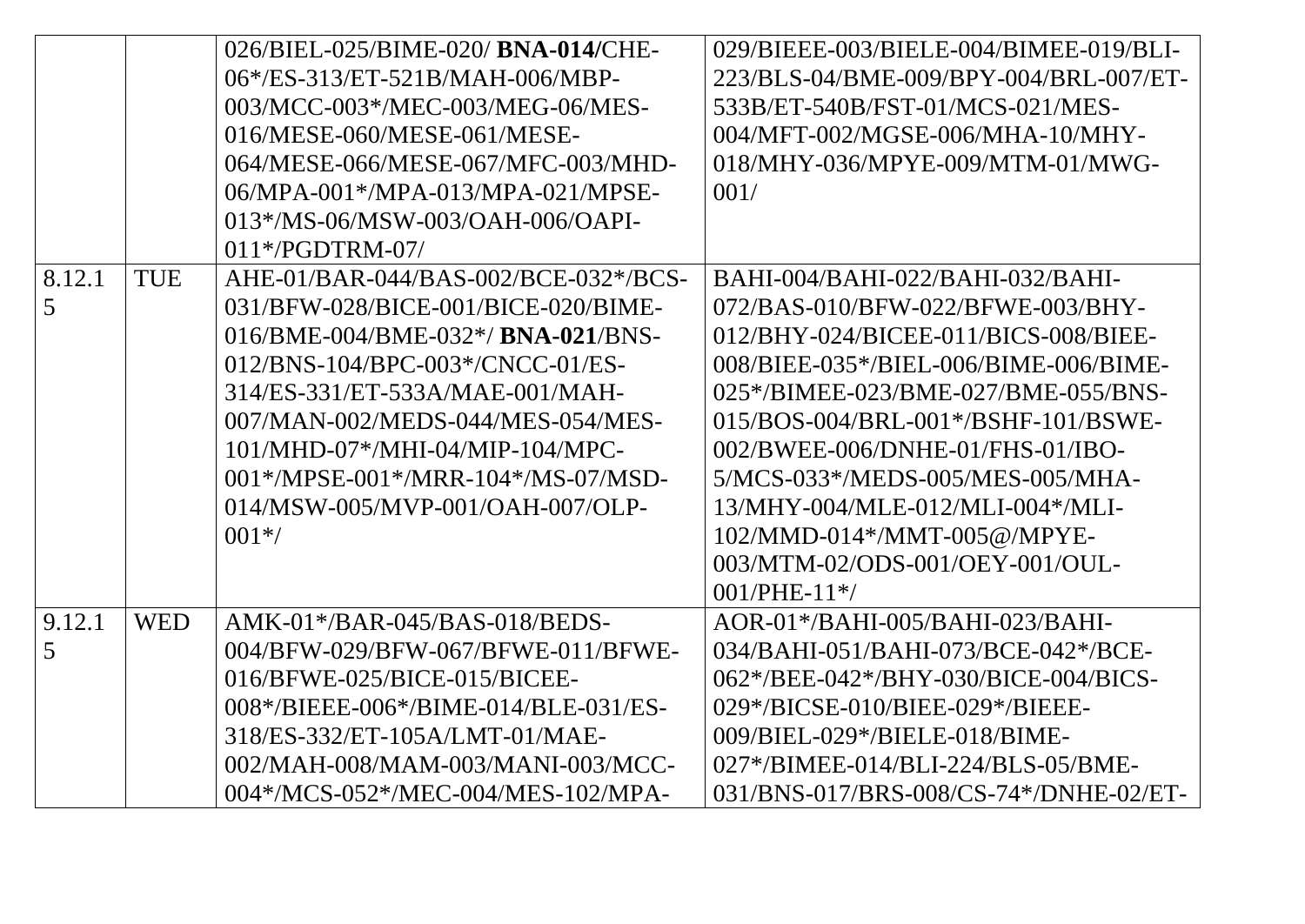|        |            | 026/BIEL-025/BIME-020/BNA-014/CHE-         | 029/BIEEE-003/BIELE-004/BIMEE-019/BLI-       |
|--------|------------|--------------------------------------------|----------------------------------------------|
|        |            | 06*/ES-313/ET-521B/MAH-006/MBP-            | 223/BLS-04/BME-009/BPY-004/BRL-007/ET-       |
|        |            | 003/MCC-003*/MEC-003/MEG-06/MES-           | 533B/ET-540B/FST-01/MCS-021/MES-             |
|        |            | 016/MESE-060/MESE-061/MESE-                | 004/MFT-002/MGSE-006/MHA-10/MHY-             |
|        |            | 064/MESE-066/MESE-067/MFC-003/MHD-         | 018/MHY-036/MPYE-009/MTM-01/MWG-             |
|        |            | 06/MPA-001*/MPA-013/MPA-021/MPSE-          | 001/                                         |
|        |            | 013*/MS-06/MSW-003/OAH-006/OAPI-           |                                              |
|        |            | $011*/PGDTRM-07/$                          |                                              |
| 8.12.1 | <b>TUE</b> | AHE-01/BAR-044/BAS-002/BCE-032*/BCS-       | BAHI-004/BAHI-022/BAHI-032/BAHI-             |
| 5      |            | 031/BFW-028/BICE-001/BICE-020/BIME-        | 072/BAS-010/BFW-022/BFWE-003/BHY-            |
|        |            | $016/BME - 004/BME - 032*/BNA - 021/BNS -$ | 012/BHY-024/BICEE-011/BICS-008/BIEE-         |
|        |            | 012/BNS-104/BPC-003*/CNCC-01/ES-           | 008/BIEE-035*/BIEL-006/BIME-006/BIME-        |
|        |            | 314/ES-331/ET-533A/MAE-001/MAH-            | 025*/BIMEE-023/BME-027/BME-055/BNS-          |
|        |            | 007/MAN-002/MEDS-044/MES-054/MES-          | $015/BOS - 004/BRL - 001*/BSHF - 101/BSWE -$ |
|        |            | 101/MHD-07*/MHI-04/MIP-104/MPC-            | 002/BWEE-006/DNHE-01/FHS-01/IBO-             |
|        |            | 001*/MPSE-001*/MRR-104*/MS-07/MSD-         | 5/MCS-033*/MEDS-005/MES-005/MHA-             |
|        |            | 014/MSW-005/MVP-001/OAH-007/OLP-           | 13/MHY-004/MLE-012/MLI-004*/MLI-             |
|        |            | $001*/$                                    | 102/MMD-014*/MMT-005@/MPYE-                  |
|        |            |                                            | 003/MTM-02/ODS-001/OEY-001/OUL-              |
|        |            |                                            | $001/PHE-11*/$                               |
| 9.12.1 | <b>WED</b> | AMK-01*/BAR-045/BAS-018/BEDS-              | $AOR-01*$ /BAHI-005/BAHI-023/BAHI-           |
| 5      |            | 004/BFW-029/BFW-067/BFWE-011/BFWE-         | 034/BAHI-051/BAHI-073/BCE-042*/BCE-          |
|        |            | 016/BFWE-025/BICE-015/BICEE-               | 062*/BEE-042*/BHY-030/BICE-004/BICS-         |
|        |            | 008*/BIEEE-006*/BIME-014/BLE-031/ES-       | $029*$ /BICSE-010/BIEE-029*/BIEEE-           |
|        |            | 318/ES-332/ET-105A/LMT-01/MAE-             | 009/BIEL-029*/BIELE-018/BIME-                |
|        |            | 002/MAH-008/MAM-003/MANI-003/MCC-          | 027*/BIMEE-014/BLI-224/BLS-05/BME-           |
|        |            | 004*/MCS-052*/MEC-004/MES-102/MPA-         | 031/BNS-017/BRS-008/CS-74*/DNHE-02/ET-       |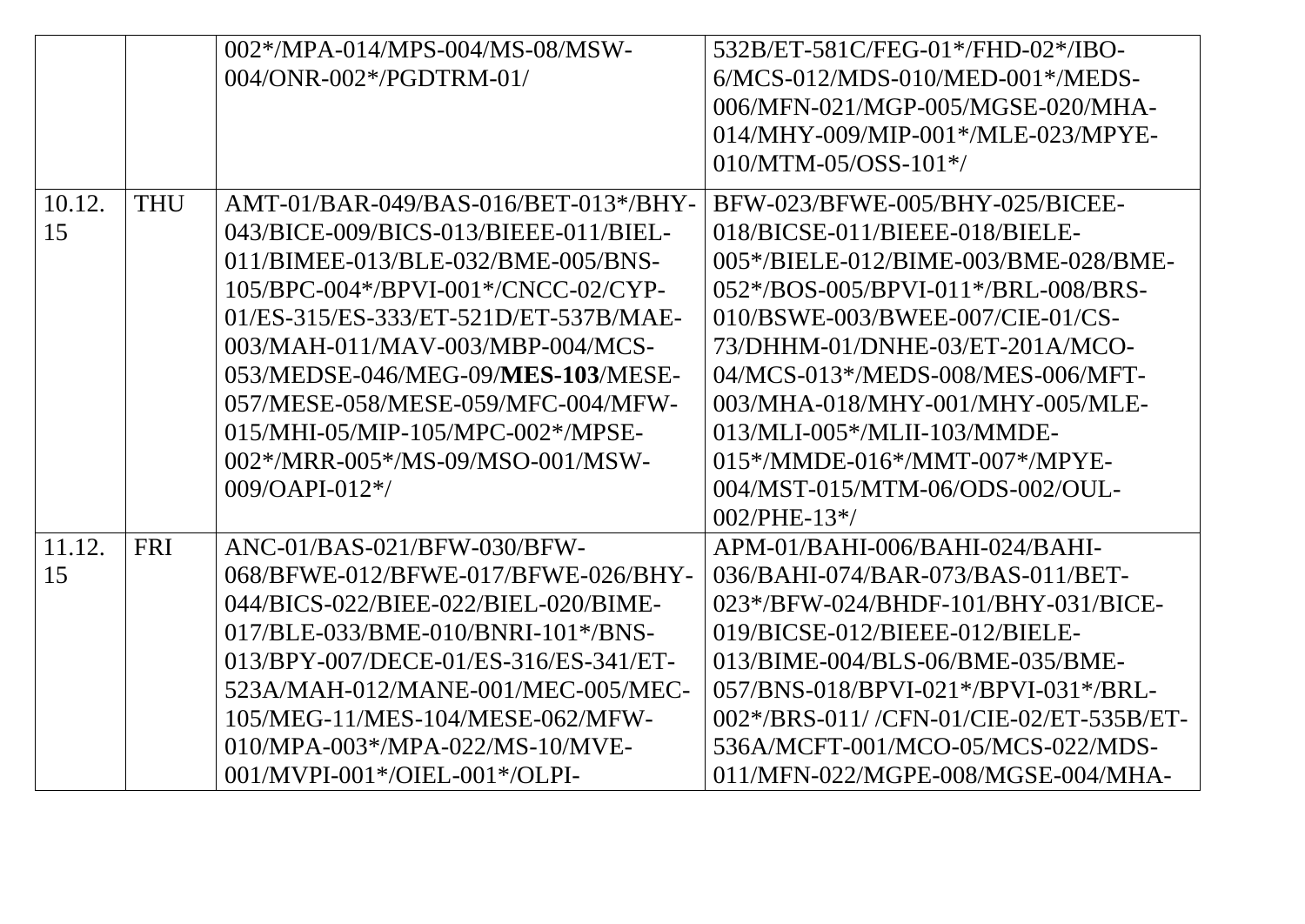|              |            | 002*/MPA-014/MPS-004/MS-08/MSW-<br>$004$ /ONR-002*/PGDTRM-01/                                                                                                                                                                                                                                                                                                                                                               | 532B/ET-581C/FEG-01*/FHD-02*/IBO-<br>$6/MCS-012/MDS-010/MED-001*/MEDS-$<br>006/MFN-021/MGP-005/MGSE-020/MHA-<br>014/MHY-009/MIP-001*/MLE-023/MPYE-<br>$010/MTM-05/OSS-101*/$                                                                                                                                                                                                                                                          |
|--------------|------------|-----------------------------------------------------------------------------------------------------------------------------------------------------------------------------------------------------------------------------------------------------------------------------------------------------------------------------------------------------------------------------------------------------------------------------|---------------------------------------------------------------------------------------------------------------------------------------------------------------------------------------------------------------------------------------------------------------------------------------------------------------------------------------------------------------------------------------------------------------------------------------|
| 10.12.<br>15 | <b>THU</b> | $AMT-01/BAR-049/BAS-016/BET-013*/BHY-$<br>043/BICE-009/BICS-013/BIEEE-011/BIEL-<br>011/BIMEE-013/BLE-032/BME-005/BNS-<br>105/BPC-004*/BPVI-001*/CNCC-02/CYP-<br>01/ES-315/ES-333/ET-521D/ET-537B/MAE-<br>003/MAH-011/MAV-003/MBP-004/MCS-<br>053/MEDSE-046/MEG-09/MES-103/MESE-<br>057/MESE-058/MESE-059/MFC-004/MFW-<br>015/MHI-05/MIP-105/MPC-002*/MPSE-<br>$002$ */MRR- $005$ */MS- $09/MSO$ -001/MSW-<br>009/OAPI-012*/ | BFW-023/BFWE-005/BHY-025/BICEE-<br>018/BICSE-011/BIEEE-018/BIELE-<br>005*/BIELE-012/BIME-003/BME-028/BME-<br>052*/BOS-005/BPVI-011*/BRL-008/BRS-<br>010/BSWE-003/BWEE-007/CIE-01/CS-<br>73/DHHM-01/DNHE-03/ET-201A/MCO-<br>04/MCS-013*/MEDS-008/MES-006/MFT-<br>003/MHA-018/MHY-001/MHY-005/MLE-<br>013/MLI-005*/MLII-103/MMDE-<br>$015*/MMDE-016*/MMT-007*/MPYE-$<br>004/MST-015/MTM-06/ODS-002/OUL-<br>$002$ /PHE-13 <sup>*</sup> / |
| 11.12.<br>15 | <b>FRI</b> | ANC-01/BAS-021/BFW-030/BFW-<br>068/BFWE-012/BFWE-017/BFWE-026/BHY-<br>044/BICS-022/BIEE-022/BIEL-020/BIME-<br>017/BLE-033/BME-010/BNRI-101*/BNS-<br>013/BPY-007/DECE-01/ES-316/ES-341/ET-<br>523A/MAH-012/MANE-001/MEC-005/MEC-<br>105/MEG-11/MES-104/MESE-062/MFW-<br>010/MPA-003*/MPA-022/MS-10/MVE-<br>001/MVPI-001*/OIEL-001*/OLPI-                                                                                     | $APM-01/BAHI-006/BAHI-024/BAHI-$<br>036/BAHI-074/BAR-073/BAS-011/BET-<br>023*/BFW-024/BHDF-101/BHY-031/BICE-<br>019/BICSE-012/BIEEE-012/BIELE-<br>013/BIME-004/BLS-06/BME-035/BME-<br>057/BNS-018/BPVI-021*/BPVI-031*/BRL-<br>002*/BRS-011//CFN-01/CIE-02/ET-535B/ET-<br>536A/MCFT-001/MCO-05/MCS-022/MDS-<br>011/MFN-022/MGPE-008/MGSE-004/MHA-                                                                                      |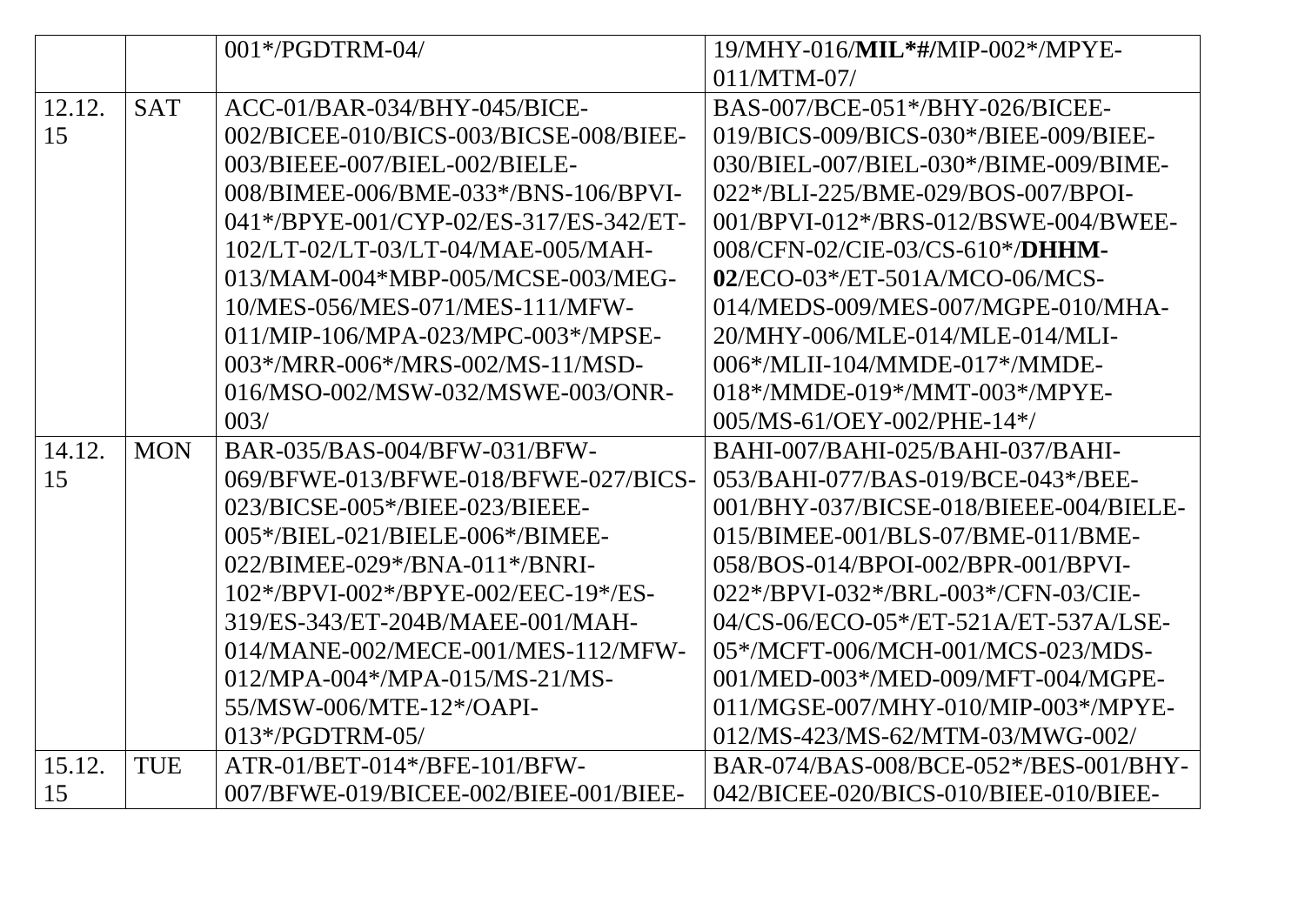|        |            | $001*/PGDTRM-04/$                      | 19/MHY-016/MIL*#/MIP-002*/MPYE-        |
|--------|------------|----------------------------------------|----------------------------------------|
|        |            |                                        | $011/MTM-07/$                          |
| 12.12. | <b>SAT</b> | ACC-01/BAR-034/BHY-045/BICE-           | BAS-007/BCE-051*/BHY-026/BICEE-        |
| 15     |            | 002/BICEE-010/BICS-003/BICSE-008/BIEE- | 019/BICS-009/BICS-030*/BIEE-009/BIEE-  |
|        |            | 003/BIEEE-007/BIEL-002/BIELE-          | 030/BIEL-007/BIEL-030*/BIME-009/BIME-  |
|        |            | 008/BIMEE-006/BME-033*/BNS-106/BPVI-   | 022*/BLI-225/BME-029/BOS-007/BPOI-     |
|        |            | 041*/BPYE-001/CYP-02/ES-317/ES-342/ET- | 001/BPVI-012*/BRS-012/BSWE-004/BWEE-   |
|        |            | 102/LT-02/LT-03/LT-04/MAE-005/MAH-     | 008/CFN-02/CIE-03/CS-610*/DHHM-        |
|        |            | 013/MAM-004*MBP-005/MCSE-003/MEG-      | 02/ECO-03*/ET-501A/MCO-06/MCS-         |
|        |            | 10/MES-056/MES-071/MES-111/MFW-        | 014/MEDS-009/MES-007/MGPE-010/MHA-     |
|        |            | 011/MIP-106/MPA-023/MPC-003*/MPSE-     | 20/MHY-006/MLE-014/MLE-014/MLI-        |
|        |            | 003*/MRR-006*/MRS-002/MS-11/MSD-       | 006*/MLII-104/MMDE-017*/MMDE-          |
|        |            | 016/MSO-002/MSW-032/MSWE-003/ONR-      | 018*/MMDE-019*/MMT-003*/MPYE-          |
|        |            | 003/                                   | 005/MS-61/OEY-002/PHE-14*/             |
| 14.12. | <b>MON</b> | BAR-035/BAS-004/BFW-031/BFW-           | BAHI-007/BAHI-025/BAHI-037/BAHI-       |
| 15     |            | 069/BFWE-013/BFWE-018/BFWE-027/BICS-   | 053/BAHI-077/BAS-019/BCE-043*/BEE-     |
|        |            | 023/BICSE-005*/BIEE-023/BIEEE-         | 001/BHY-037/BICSE-018/BIEEE-004/BIELE- |
|        |            | 005*/BIEL-021/BIELE-006*/BIMEE-        | 015/BIMEE-001/BLS-07/BME-011/BME-      |
|        |            | 022/BIMEE-029*/BNA-011*/BNRI-          | 058/BOS-014/BPOI-002/BPR-001/BPVI-     |
|        |            | 102*/BPVI-002*/BPYE-002/EEC-19*/ES-    | 022*/BPVI-032*/BRL-003*/CFN-03/CIE-    |
|        |            | 319/ES-343/ET-204B/MAEE-001/MAH-       | 04/CS-06/ECO-05*/ET-521A/ET-537A/LSE-  |
|        |            | 014/MANE-002/MECE-001/MES-112/MFW-     | 05*/MCFT-006/MCH-001/MCS-023/MDS-      |
|        |            | $012/MPA - 004$ */MPA-015/MS-21/MS-    | 001/MED-003*/MED-009/MFT-004/MGPE-     |
|        |            | 55/MSW-006/MTE-12*/OAPI-               | 011/MGSE-007/MHY-010/MIP-003*/MPYE-    |
|        |            | $013*/PGDTRM-05/$                      | 012/MS-423/MS-62/MTM-03/MWG-002/       |
| 15.12. | <b>TUE</b> | ATR-01/BET-014*/BFE-101/BFW-           | BAR-074/BAS-008/BCE-052*/BES-001/BHY-  |
| 15     |            | 007/BFWE-019/BICEE-002/BIEE-001/BIEE-  | 042/BICEE-020/BICS-010/BIEE-010/BIEE-  |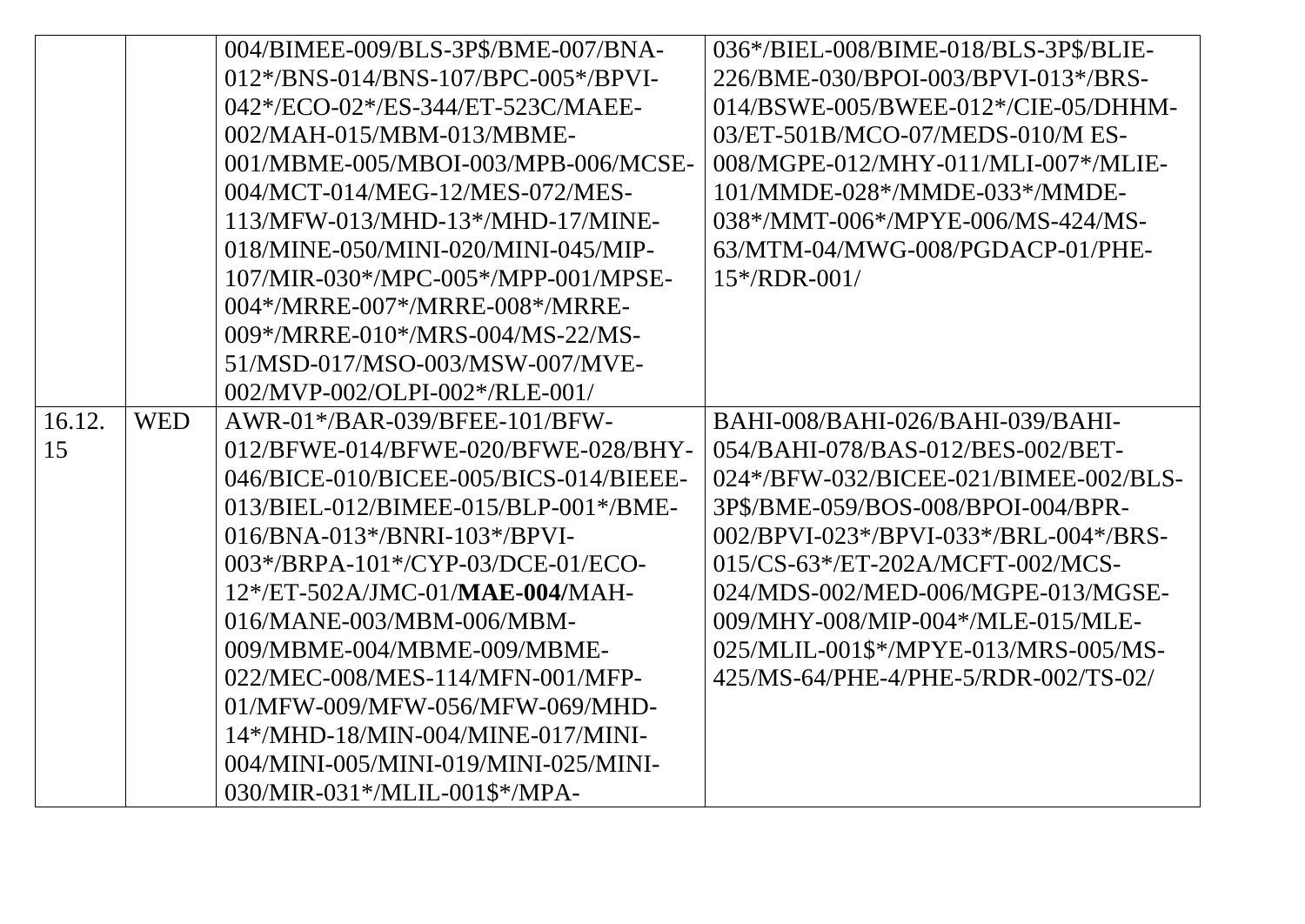|        |            | 004/BIMEE-009/BLS-3P\$/BME-007/BNA-    | 036*/BIEL-008/BIME-018/BLS-3P\$/BLIE- |
|--------|------------|----------------------------------------|---------------------------------------|
|        |            | 012*/BNS-014/BNS-107/BPC-005*/BPVI-    | 226/BME-030/BPOI-003/BPVI-013*/BRS-   |
|        |            | 042*/ECO-02*/ES-344/ET-523C/MAEE-      | 014/BSWE-005/BWEE-012*/CIE-05/DHHM-   |
|        |            | 002/MAH-015/MBM-013/MBME-              | 03/ET-501B/MCO-07/MEDS-010/M ES-      |
|        |            | 001/MBME-005/MBOI-003/MPB-006/MCSE-    | 008/MGPE-012/MHY-011/MLI-007*/MLIE-   |
|        |            | 004/MCT-014/MEG-12/MES-072/MES-        | 101/MMDE-028*/MMDE-033*/MMDE-         |
|        |            | 113/MFW-013/MHD-13*/MHD-17/MINE-       | 038*/MMT-006*/MPYE-006/MS-424/MS-     |
|        |            | 018/MINE-050/MINI-020/MINI-045/MIP-    | 63/MTM-04/MWG-008/PGDACP-01/PHE-      |
|        |            | 107/MIR-030*/MPC-005*/MPP-001/MPSE-    | $15*/RDR-001/$                        |
|        |            | 004*/MRRE-007*/MRRE-008*/MRRE-         |                                       |
|        |            | 009*/MRRE-010*/MRS-004/MS-22/MS-       |                                       |
|        |            | 51/MSD-017/MSO-003/MSW-007/MVE-        |                                       |
|        |            | 002/MVP-002/OLPI-002*/RLE-001/         |                                       |
| 16.12. | <b>WED</b> | AWR-01*/BAR-039/BFEE-101/BFW-          | BAHI-008/BAHI-026/BAHI-039/BAHI-      |
| 15     |            | 012/BFWE-014/BFWE-020/BFWE-028/BHY-    | 054/BAHI-078/BAS-012/BES-002/BET-     |
|        |            | 046/BICE-010/BICEE-005/BICS-014/BIEEE- | 024*/BFW-032/BICEE-021/BIMEE-002/BLS- |
|        |            | $013/BIEL-012/BIMEE-015/BLP-001*/BME-$ | 3P\$/BME-059/BOS-008/BPOI-004/BPR-    |
|        |            | $016/BNA-013*/BNRI-103*/BPVI-$         | 002/BPVI-023*/BPVI-033*/BRL-004*/BRS- |
|        |            | 003*/BRPA-101*/CYP-03/DCE-01/ECO-      | 015/CS-63*/ET-202A/MCFT-002/MCS-      |
|        |            | 12*/ET-502A/JMC-01/MAE-004/MAH-        | 024/MDS-002/MED-006/MGPE-013/MGSE-    |
|        |            | $016/MANE-003/MBM-006/MBM-$            | 009/MHY-008/MIP-004*/MLE-015/MLE-     |
|        |            | 009/MBME-004/MBME-009/MBME-            | 025/MLIL-001\$*/MPYE-013/MRS-005/MS-  |
|        |            | 022/MEC-008/MES-114/MFN-001/MFP-       | 425/MS-64/PHE-4/PHE-5/RDR-002/TS-02/  |
|        |            | 01/MFW-009/MFW-056/MFW-069/MHD-        |                                       |
|        |            | 14*/MHD-18/MIN-004/MINE-017/MINI-      |                                       |
|        |            | 004/MINI-005/MINI-019/MINI-025/MINI-   |                                       |
|        |            | 030/MIR-031*/MLIL-001\$*/MPA-          |                                       |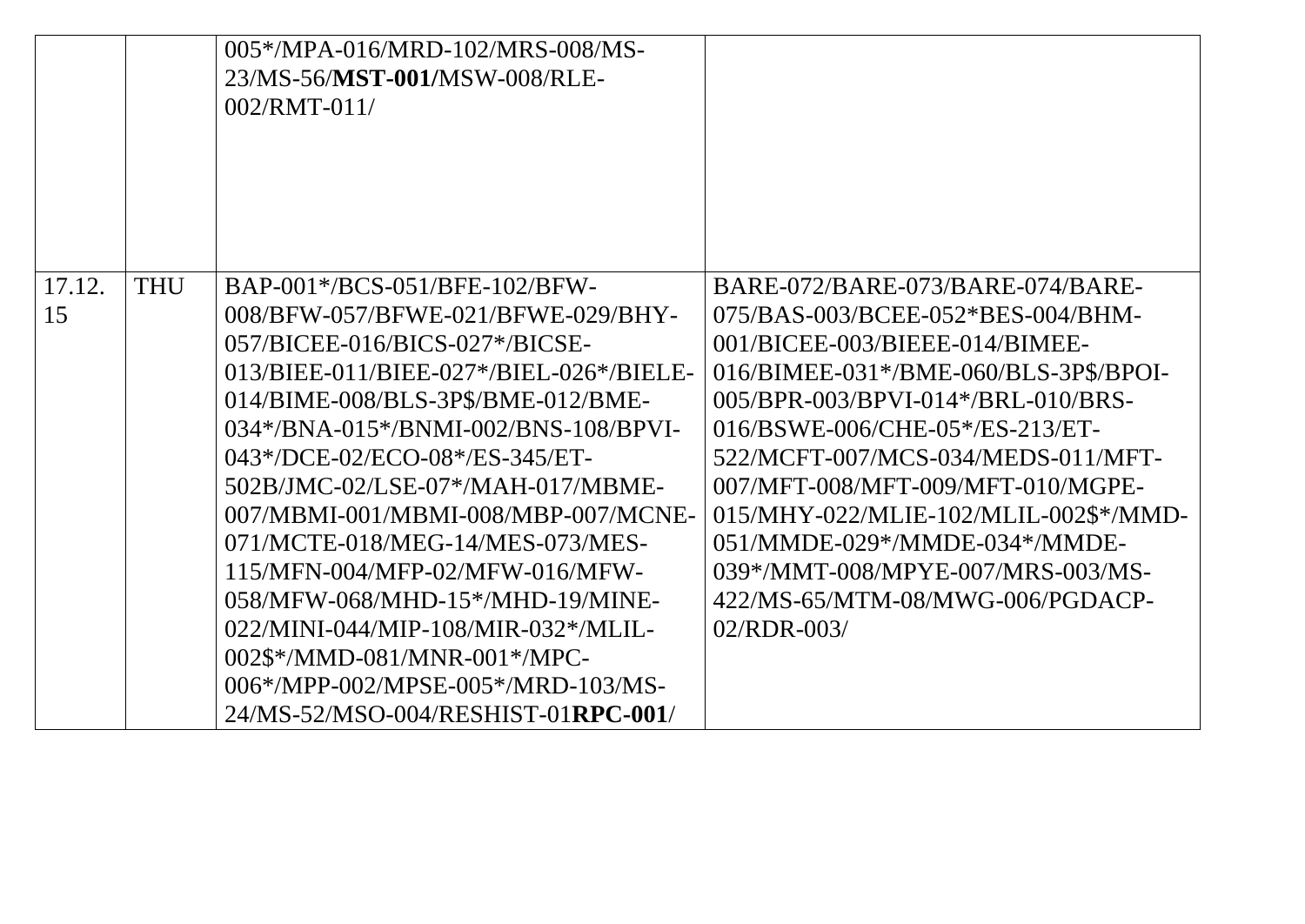|              |            | 005*/MPA-016/MRD-102/MRS-008/MS-<br>23/MS-56/MST-001/MSW-008/RLE-<br>$002/RMT-011/$                                                                                                                                                                                                                                                                                                                                                                                                                                                                                                                               |                                                                                                                                                                                                                                                                                                                                                                                                                                                                            |
|--------------|------------|-------------------------------------------------------------------------------------------------------------------------------------------------------------------------------------------------------------------------------------------------------------------------------------------------------------------------------------------------------------------------------------------------------------------------------------------------------------------------------------------------------------------------------------------------------------------------------------------------------------------|----------------------------------------------------------------------------------------------------------------------------------------------------------------------------------------------------------------------------------------------------------------------------------------------------------------------------------------------------------------------------------------------------------------------------------------------------------------------------|
| 17.12.<br>15 | <b>THU</b> | BAP-001*/BCS-051/BFE-102/BFW-<br>008/BFW-057/BFWE-021/BFWE-029/BHY-<br>057/BICEE-016/BICS-027*/BICSE-<br>013/BIEE-011/BIEE-027*/BIEL-026*/BIELE-<br>014/BIME-008/BLS-3P\$/BME-012/BME-<br>$034*/BNA-015*/BNMI-002/BNS-108/BPVI-$<br>043*/DCE-02/ECO-08*/ES-345/ET-<br>502B/JMC-02/LSE-07*/MAH-017/MBME-<br>007/MBMI-001/MBMI-008/MBP-007/MCNE-<br>071/MCTE-018/MEG-14/MES-073/MES-<br>115/MFN-004/MFP-02/MFW-016/MFW-<br>058/MFW-068/MHD-15*/MHD-19/MINE-<br>022/MINI-044/MIP-108/MIR-032*/MLIL-<br>002\$*/MMD-081/MNR-001*/MPC-<br>$0.06*$ /MPP-002/MPSE-005*/MRD-103/MS-<br>24/MS-52/MSO-004/RESHIST-01RPC-001/ | BARE-072/BARE-073/BARE-074/BARE-<br>075/BAS-003/BCEE-052*BES-004/BHM-<br>001/BICEE-003/BIEEE-014/BIMEE-<br>016/BIMEE-031*/BME-060/BLS-3P\$/BPOI-<br>005/BPR-003/BPVI-014*/BRL-010/BRS-<br>016/BSWE-006/CHE-05*/ES-213/ET-<br>522/MCFT-007/MCS-034/MEDS-011/MFT-<br>007/MFT-008/MFT-009/MFT-010/MGPE-<br>015/MHY-022/MLIE-102/MLIL-002\$*/MMD-<br>051/MMDE-029*/MMDE-034*/MMDE-<br>039*/MMT-008/MPYE-007/MRS-003/MS-<br>422/MS-65/MTM-08/MWG-006/PGDACP-<br>$02/RDR - 003/$ |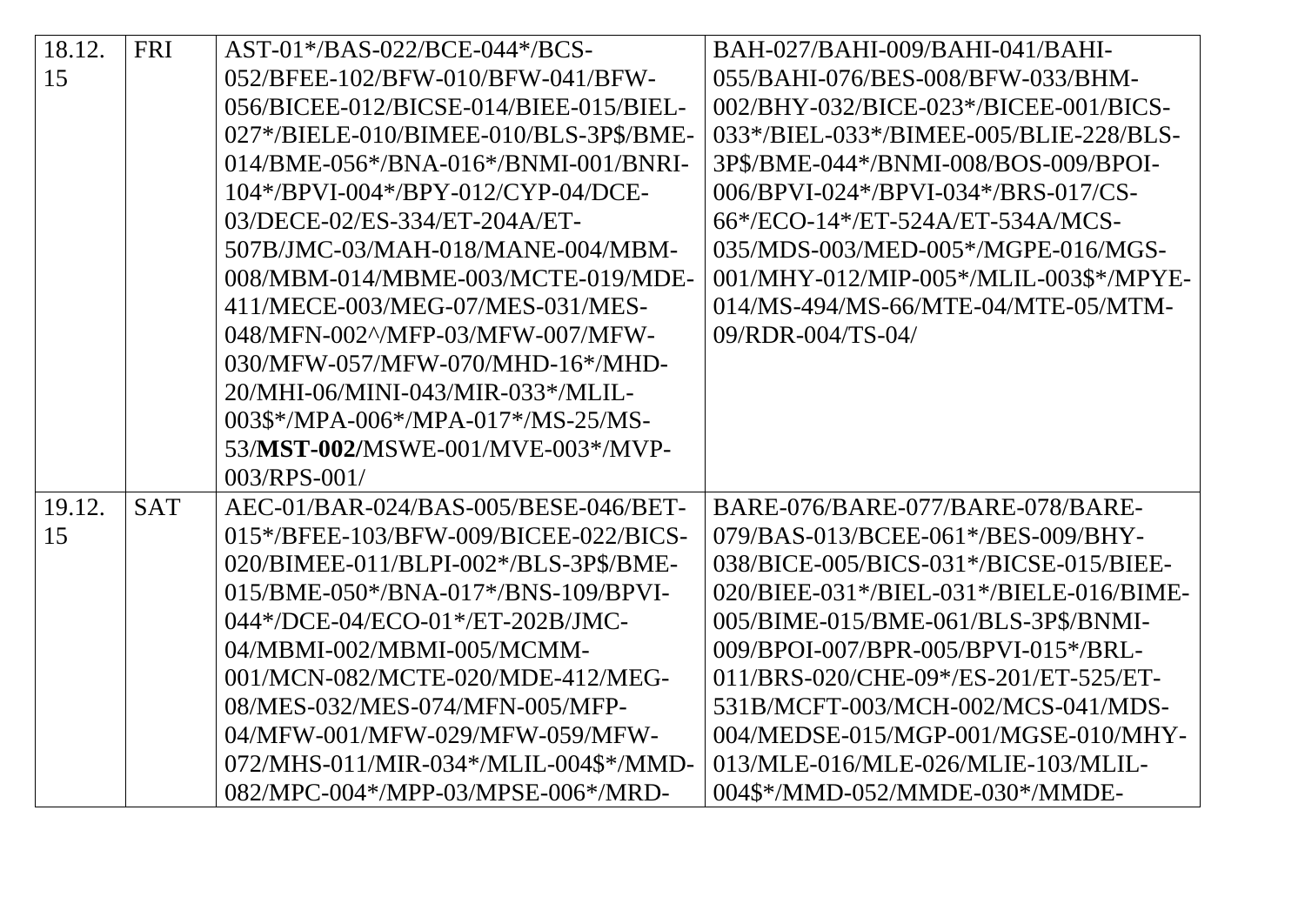| 18.12. | <b>FRI</b> | AST-01*/BAS-022/BCE-044*/BCS-          | BAH-027/BAHI-009/BAHI-041/BAHI-         |
|--------|------------|----------------------------------------|-----------------------------------------|
| 15     |            | 052/BFEE-102/BFW-010/BFW-041/BFW-      | 055/BAHI-076/BES-008/BFW-033/BHM-       |
|        |            | 056/BICEE-012/BICSE-014/BIEE-015/BIEL- | 002/BHY-032/BICE-023*/BICEE-001/BICS-   |
|        |            | 027*/BIELE-010/BIMEE-010/BLS-3P\$/BME- | 033*/BIEL-033*/BIMEE-005/BLIE-228/BLS-  |
|        |            | 014/BME-056*/BNA-016*/BNMI-001/BNRI-   | 3P\$/BME-044*/BNMI-008/BOS-009/BPOI-    |
|        |            | 104*/BPVI-004*/BPY-012/CYP-04/DCE-     | 006/BPVI-024*/BPVI-034*/BRS-017/CS-     |
|        |            | 03/DECE-02/ES-334/ET-204A/ET-          | 66*/ECO-14*/ET-524A/ET-534A/MCS-        |
|        |            | 507B/JMC-03/MAH-018/MANE-004/MBM-      | 035/MDS-003/MED-005*/MGPE-016/MGS-      |
|        |            | 008/MBM-014/MBME-003/MCTE-019/MDE-     | 001/MHY-012/MIP-005*/MLIL-003\$*/MPYE-  |
|        |            | 411/MECE-003/MEG-07/MES-031/MES-       | 014/MS-494/MS-66/MTE-04/MTE-05/MTM-     |
|        |            | 048/MFN-002^/MFP-03/MFW-007/MFW-       | 09/RDR-004/TS-04/                       |
|        |            | 030/MFW-057/MFW-070/MHD-16*/MHD-       |                                         |
|        |            | 20/MHI-06/MINI-043/MIR-033*/MLIL-      |                                         |
|        |            | 003\$*/MPA-006*/MPA-017*/MS-25/MS-     |                                         |
|        |            | 53/MST-002/MSWE-001/MVE-003*/MVP-      |                                         |
|        |            | $003/RPS - 001/$                       |                                         |
| 19.12. | <b>SAT</b> | AEC-01/BAR-024/BAS-005/BESE-046/BET-   | BARE-076/BARE-077/BARE-078/BARE-        |
| 15     |            | 015*/BFEE-103/BFW-009/BICEE-022/BICS-  | 079/BAS-013/BCEE-061*/BES-009/BHY-      |
|        |            | 020/BIMEE-011/BLPI-002*/BLS-3P\$/BME-  | 038/BICE-005/BICS-031*/BICSE-015/BIEE-  |
|        |            | 015/BME-050*/BNA-017*/BNS-109/BPVI-    | 020/BIEE-031*/BIEL-031*/BIELE-016/BIME- |
|        |            | 044*/DCE-04/ECO-01*/ET-202B/JMC-       | 005/BIME-015/BME-061/BLS-3P\$/BNMI-     |
|        |            | 04/MBMI-002/MBMI-005/MCMM-             | 009/BPOI-007/BPR-005/BPVI-015*/BRL-     |
|        |            | 001/MCN-082/MCTE-020/MDE-412/MEG-      | 011/BRS-020/CHE-09*/ES-201/ET-525/ET-   |
|        |            | 08/MES-032/MES-074/MFN-005/MFP-        | 531B/MCFT-003/MCH-002/MCS-041/MDS-      |
|        |            | 04/MFW-001/MFW-029/MFW-059/MFW-        | 004/MEDSE-015/MGP-001/MGSE-010/MHY-     |
|        |            | 072/MHS-011/MIR-034*/MLIL-004\$*/MMD-  | 013/MLE-016/MLE-026/MLIE-103/MLIL-      |
|        |            | 082/MPC-004*/MPP-03/MPSE-006*/MRD-     | 004\$*/MMD-052/MMDE-030*/MMDE-          |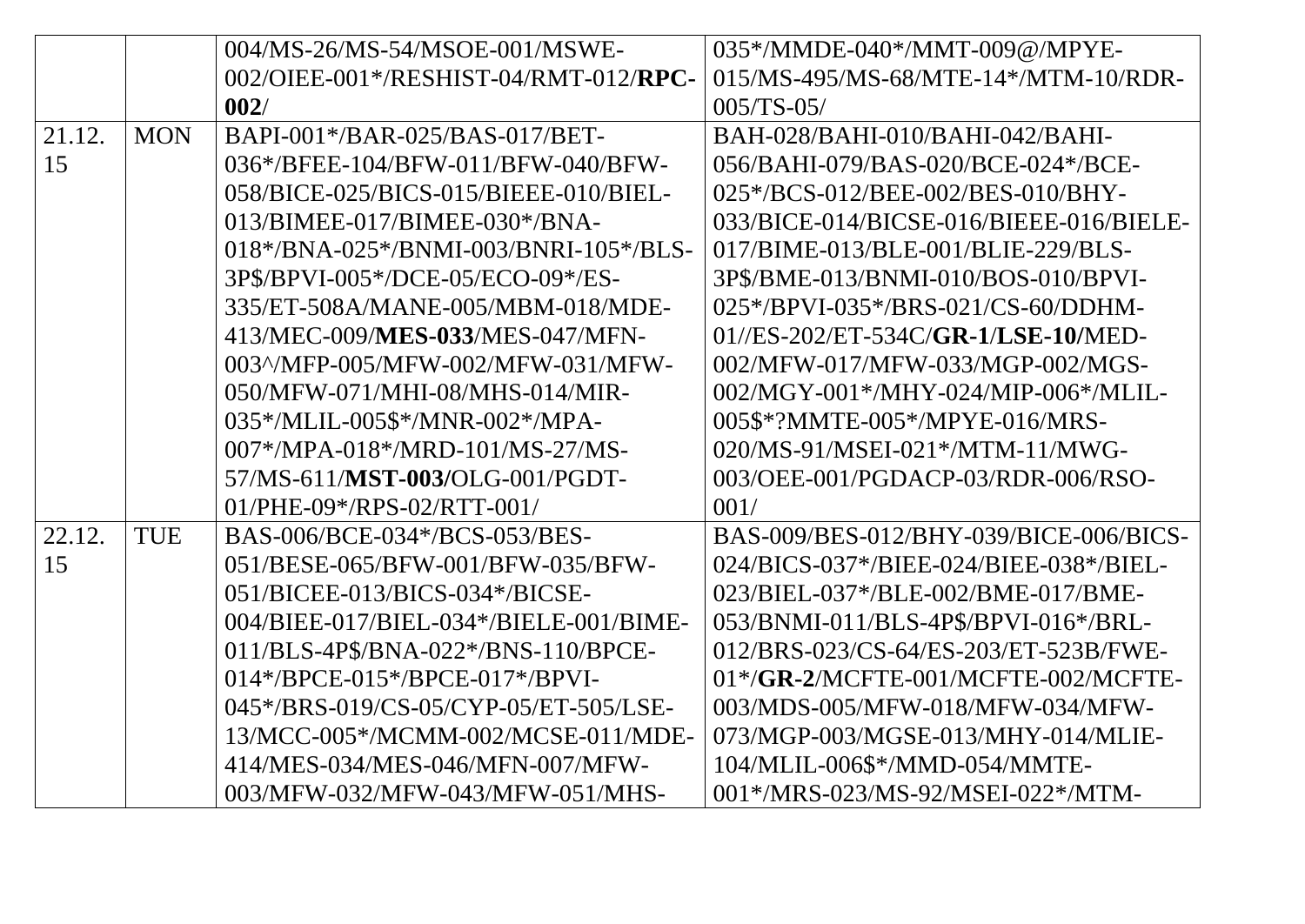|        |            | 004/MS-26/MS-54/MSOE-001/MSWE-         | 035*/MMDE-040*/MMT-009@/MPYE-           |
|--------|------------|----------------------------------------|-----------------------------------------|
|        |            | 002/OIEE-001*/RESHIST-04/RMT-012/RPC-  | 015/MS-495/MS-68/MTE-14*/MTM-10/RDR-    |
|        |            | 002/                                   | $005/TS-05/$                            |
| 21.12. | <b>MON</b> | BAPI-001*/BAR-025/BAS-017/BET-         | BAH-028/BAHI-010/BAHI-042/BAHI-         |
| 15     |            | 036*/BFEE-104/BFW-011/BFW-040/BFW-     | 056/BAHI-079/BAS-020/BCE-024*/BCE-      |
|        |            | 058/BICE-025/BICS-015/BIEEE-010/BIEL-  | 025*/BCS-012/BEE-002/BES-010/BHY-       |
|        |            | 013/BIMEE-017/BIMEE-030*/BNA-          | 033/BICE-014/BICSE-016/BIEEE-016/BIELE- |
|        |            | 018*/BNA-025*/BNMI-003/BNRI-105*/BLS-  | 017/BIME-013/BLE-001/BLIE-229/BLS-      |
|        |            | 3P\$/BPVI-005*/DCE-05/ECO-09*/ES-      | 3P\$/BME-013/BNMI-010/BOS-010/BPVI-     |
|        |            | 335/ET-508A/MANE-005/MBM-018/MDE-      | 025*/BPVI-035*/BRS-021/CS-60/DDHM-      |
|        |            | 413/MEC-009/MES-033/MES-047/MFN-       | $01$ //ES-202/ET-534C/GR-1/LSE-10/MED-  |
|        |            | 003^/MFP-005/MFW-002/MFW-031/MFW-      | 002/MFW-017/MFW-033/MGP-002/MGS-        |
|        |            | 050/MFW-071/MHI-08/MHS-014/MIR-        | 002/MGY-001*/MHY-024/MIP-006*/MLIL-     |
|        |            | 035*/MLIL-005\$*/MNR-002*/MPA-         | 005\$*?MMTE-005*/MPYE-016/MRS-          |
|        |            | 007*/MPA-018*/MRD-101/MS-27/MS-        | 020/MS-91/MSEI-021*/MTM-11/MWG-         |
|        |            | 57/MS-611/MST-003/OLG-001/PGDT-        | 003/OEE-001/PGDACP-03/RDR-006/RSO-      |
|        |            | $01/PHE-09*/RPS-02/RTT-001/$           | 001/                                    |
| 22.12. | TUE        | BAS-006/BCE-034*/BCS-053/BES-          | BAS-009/BES-012/BHY-039/BICE-006/BICS-  |
| 15     |            | 051/BESE-065/BFW-001/BFW-035/BFW-      | 024/BICS-037*/BIEE-024/BIEE-038*/BIEL-  |
|        |            | 051/BICEE-013/BICS-034*/BICSE-         | 023/BIEL-037*/BLE-002/BME-017/BME-      |
|        |            | 004/BIEE-017/BIEL-034*/BIELE-001/BIME- | 053/BNMI-011/BLS-4P\$/BPVI-016*/BRL-    |
|        |            | 011/BLS-4P\$/BNA-022*/BNS-110/BPCE-    | 012/BRS-023/CS-64/ES-203/ET-523B/FWE-   |
|        |            | 014*/BPCE-015*/BPCE-017*/BPVI-         | $01*/GR$ -2/MCFTE-001/MCFTE-002/MCFTE-  |
|        |            | 045*/BRS-019/CS-05/CYP-05/ET-505/LSE-  | 003/MDS-005/MFW-018/MFW-034/MFW-        |
|        |            | 13/MCC-005*/MCMM-002/MCSE-011/MDE-     | 073/MGP-003/MGSE-013/MHY-014/MLIE-      |
|        |            | 414/MES-034/MES-046/MFN-007/MFW-       | 104/MLIL-006\$*/MMD-054/MMTE-           |
|        |            | 003/MFW-032/MFW-043/MFW-051/MHS-       | 001*/MRS-023/MS-92/MSEI-022*/MTM-       |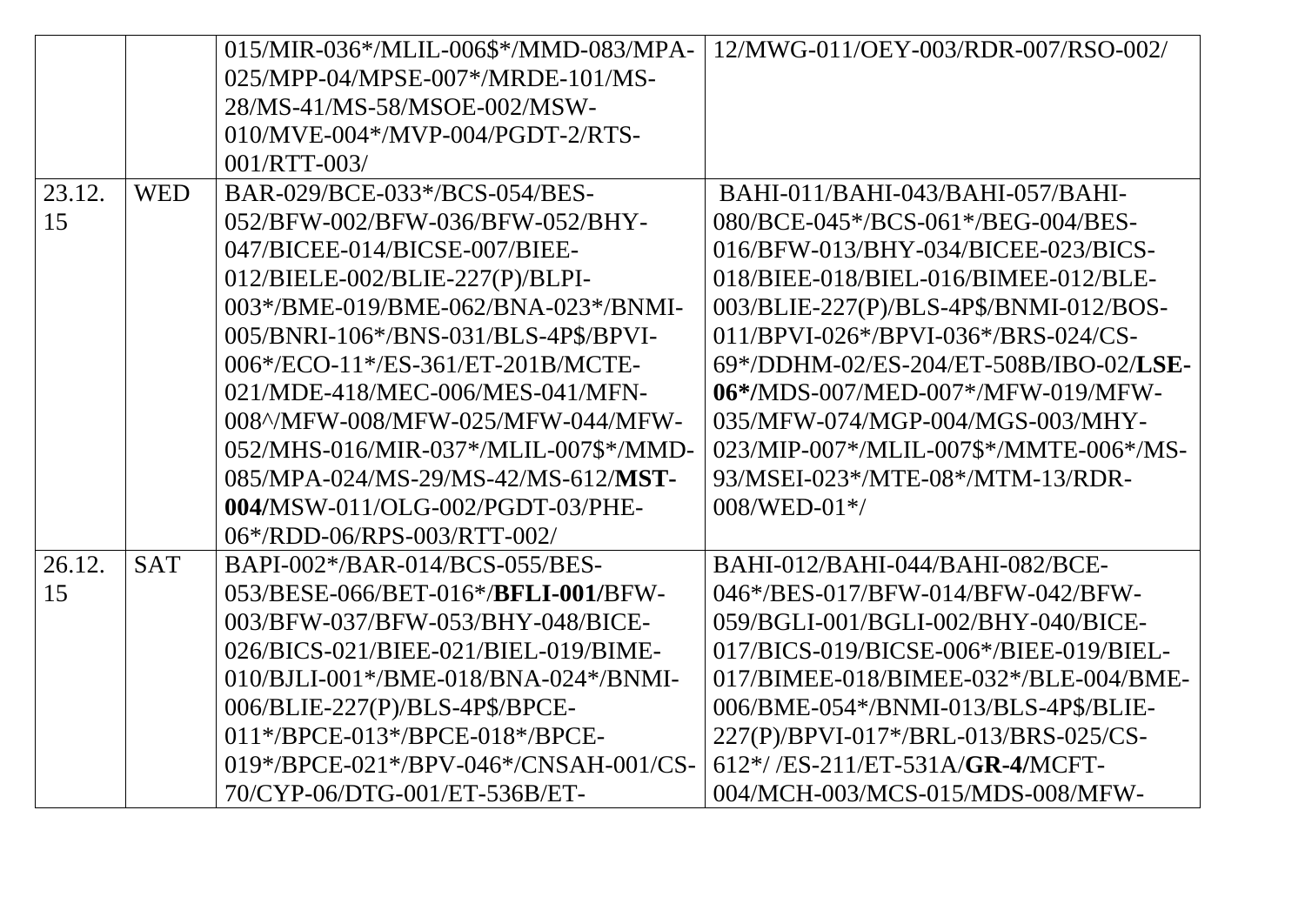|        |            | 015/MIR-036*/MLIL-006\$*/MMD-083/MPA- | 12/MWG-011/OEY-003/RDR-007/RSO-002/    |
|--------|------------|---------------------------------------|----------------------------------------|
|        |            | 025/MPP-04/MPSE-007*/MRDE-101/MS-     |                                        |
|        |            | 28/MS-41/MS-58/MSOE-002/MSW-          |                                        |
|        |            | 010/MVE-004*/MVP-004/PGDT-2/RTS-      |                                        |
|        |            | 001/RTT-003/                          |                                        |
| 23.12. | <b>WED</b> | BAR-029/BCE-033*/BCS-054/BES-         | BAHI-011/BAHI-043/BAHI-057/BAHI-       |
| 15     |            | 052/BFW-002/BFW-036/BFW-052/BHY-      | 080/BCE-045*/BCS-061*/BEG-004/BES-     |
|        |            | 047/BICEE-014/BICSE-007/BIEE-         | 016/BFW-013/BHY-034/BICEE-023/BICS-    |
|        |            | 012/BIELE-002/BLIE-227(P)/BLPI-       | 018/BIEE-018/BIEL-016/BIMEE-012/BLE-   |
|        |            | 003*/BME-019/BME-062/BNA-023*/BNMI-   | 003/BLIE-227(P)/BLS-4P\$/BNMI-012/BOS- |
|        |            | 005/BNRI-106*/BNS-031/BLS-4P\$/BPVI-  | 011/BPVI-026*/BPVI-036*/BRS-024/CS-    |
|        |            | 006*/ECO-11*/ES-361/ET-201B/MCTE-     | 69*/DDHM-02/ES-204/ET-508B/IBO-02/LSE- |
|        |            | 021/MDE-418/MEC-006/MES-041/MFN-      | 06*/MDS-007/MED-007*/MFW-019/MFW-      |
|        |            | 008^/MFW-008/MFW-025/MFW-044/MFW-     | 035/MFW-074/MGP-004/MGS-003/MHY-       |
|        |            | 052/MHS-016/MIR-037*/MLIL-007\$*/MMD- | 023/MIP-007*/MLIL-007\$*/MMTE-006*/MS- |
|        |            | 085/MPA-024/MS-29/MS-42/MS-612/MST-   | 93/MSEI-023*/MTE-08*/MTM-13/RDR-       |
|        |            | 004/MSW-011/OLG-002/PGDT-03/PHE-      | $008/WED-01*/$                         |
|        |            | 06*/RDD-06/RPS-003/RTT-002/           |                                        |
| 26.12. | <b>SAT</b> | BAPI-002*/BAR-014/BCS-055/BES-        | BAHI-012/BAHI-044/BAHI-082/BCE-        |
| 15     |            | 053/BESE-066/BET-016*/BFLI-001/BFW-   | 046*/BES-017/BFW-014/BFW-042/BFW-      |
|        |            | 003/BFW-037/BFW-053/BHY-048/BICE-     | 059/BGLI-001/BGLI-002/BHY-040/BICE-    |
|        |            | 026/BICS-021/BIEE-021/BIEL-019/BIME-  | 017/BICS-019/BICSE-006*/BIEE-019/BIEL- |
|        |            | 010/BJLI-001*/BME-018/BNA-024*/BNMI-  | 017/BIMEE-018/BIMEE-032*/BLE-004/BME-  |
|        |            | 006/BLIE-227(P)/BLS-4P\$/BPCE-        | 006/BME-054*/BNMI-013/BLS-4P\$/BLIE-   |
|        |            | 011*/BPCE-013*/BPCE-018*/BPCE-        | 227(P)/BPVI-017*/BRL-013/BRS-025/CS-   |
|        |            | 019*/BPCE-021*/BPV-046*/CNSAH-001/CS- | 612*//ES-211/ET-531A/GR-4/MCFT-        |
|        |            | 70/CYP-06/DTG-001/ET-536B/ET-         | 004/MCH-003/MCS-015/MDS-008/MFW-       |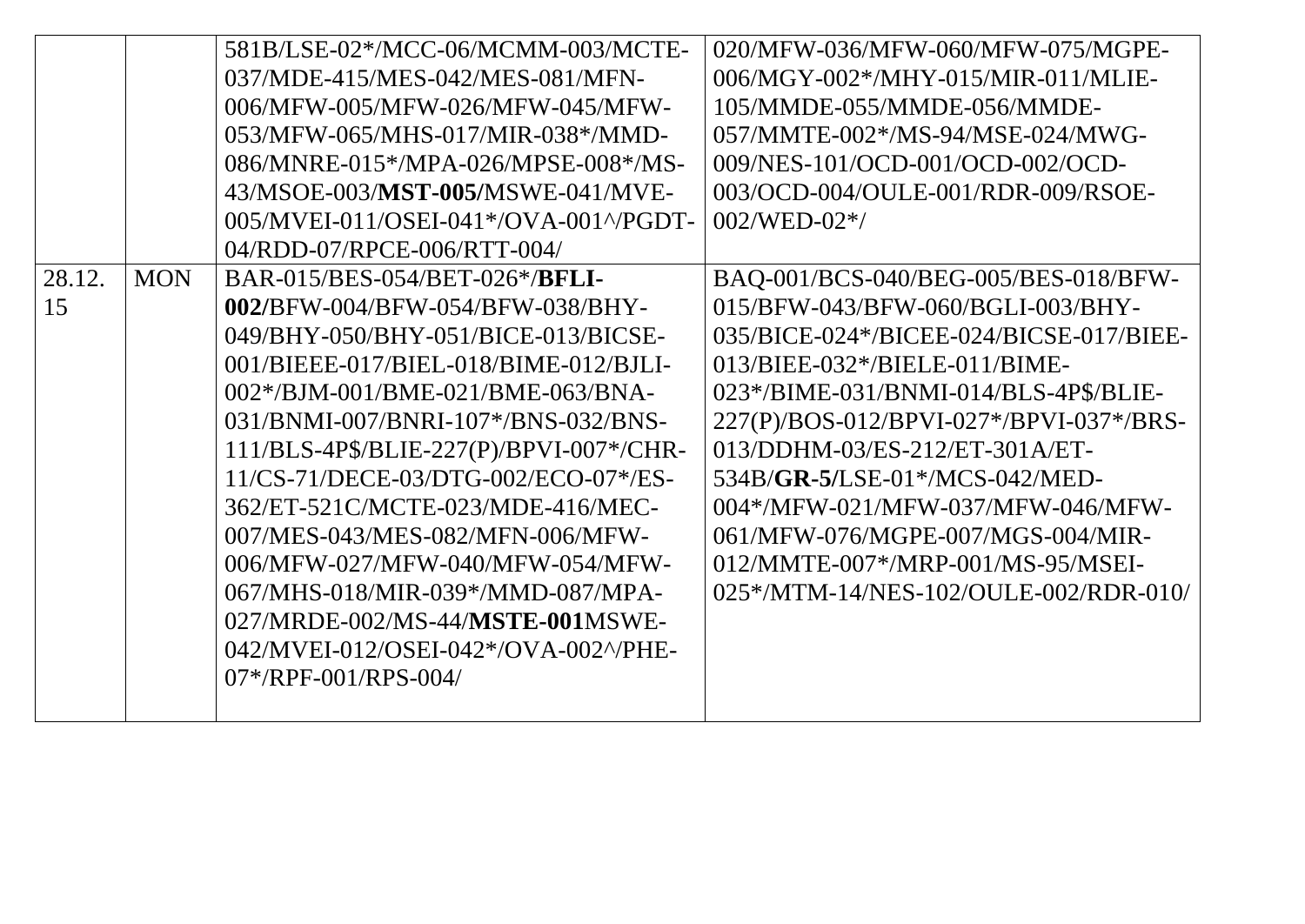|        |            | 581B/LSE-02*/MCC-06/MCMM-003/MCTE-      | 020/MFW-036/MFW-060/MFW-075/MGPE-                                                |
|--------|------------|-----------------------------------------|----------------------------------------------------------------------------------|
|        |            | 037/MDE-415/MES-042/MES-081/MFN-        | 006/MGY-002*/MHY-015/MIR-011/MLIE-                                               |
|        |            | 006/MFW-005/MFW-026/MFW-045/MFW-        | 105/MMDE-055/MMDE-056/MMDE-                                                      |
|        |            | 053/MFW-065/MHS-017/MIR-038*/MMD-       | 057/MMTE-002*/MS-94/MSE-024/MWG-                                                 |
|        |            | 086/MNRE-015*/MPA-026/MPSE-008*/MS-     | 009/NES-101/OCD-001/OCD-002/OCD-                                                 |
|        |            | 43/MSOE-003/MST-005/MSWE-041/MVE-       | 003/OCD-004/OULE-001/RDR-009/RSOE-                                               |
|        |            | 005/MVEI-011/OSEI-041*/OVA-001^/PGDT-   | $002/WED-02*/$                                                                   |
|        |            | 04/RDD-07/RPCE-006/RTT-004/             |                                                                                  |
| 28.12. | <b>MON</b> | BAR-015/BES-054/BET-026*/BFLI-          | BAQ-001/BCS-040/BEG-005/BES-018/BFW-                                             |
| 15     |            | 002/BFW-004/BFW-054/BFW-038/BHY-        | 015/BFW-043/BFW-060/BGLI-003/BHY-                                                |
|        |            | 049/BHY-050/BHY-051/BICE-013/BICSE-     | $035/BICE-024\frac{*}{BICE-024/BICSE-017/BIEE-017}{BIEE-024/BICSE-017/BIEE-017}$ |
|        |            | 001/BIEEE-017/BIEL-018/BIME-012/BJLI-   | 013/BIEE-032*/BIELE-011/BIME-                                                    |
|        |            | 002*/BJM-001/BME-021/BME-063/BNA-       | 023*/BIME-031/BNMI-014/BLS-4P\$/BLIE-                                            |
|        |            | 031/BNMI-007/BNRI-107*/BNS-032/BNS-     | 227(P)/BOS-012/BPVI-027*/BPVI-037*/BRS-                                          |
|        |            | 111/BLS-4P\$/BLIE-227(P)/BPVI-007*/CHR- | 013/DDHM-03/ES-212/ET-301A/ET-                                                   |
|        |            | 11/CS-71/DECE-03/DTG-002/ECO-07*/ES-    | 534B/GR-5/LSE-01*/MCS-042/MED-                                                   |
|        |            | 362/ET-521C/MCTE-023/MDE-416/MEC-       | 004*/MFW-021/MFW-037/MFW-046/MFW-                                                |
|        |            | 007/MES-043/MES-082/MFN-006/MFW-        | 061/MFW-076/MGPE-007/MGS-004/MIR-                                                |
|        |            | 006/MFW-027/MFW-040/MFW-054/MFW-        | 012/MMTE-007*/MRP-001/MS-95/MSEI-                                                |
|        |            | 067/MHS-018/MIR-039*/MMD-087/MPA-       | 025*/MTM-14/NES-102/OULE-002/RDR-010/                                            |
|        |            | 027/MRDE-002/MS-44/MSTE-001MSWE-        |                                                                                  |
|        |            | 042/MVEI-012/OSEI-042*/OVA-002^/PHE-    |                                                                                  |
|        |            | $07*/RPF-001/RPS-004/$                  |                                                                                  |
|        |            |                                         |                                                                                  |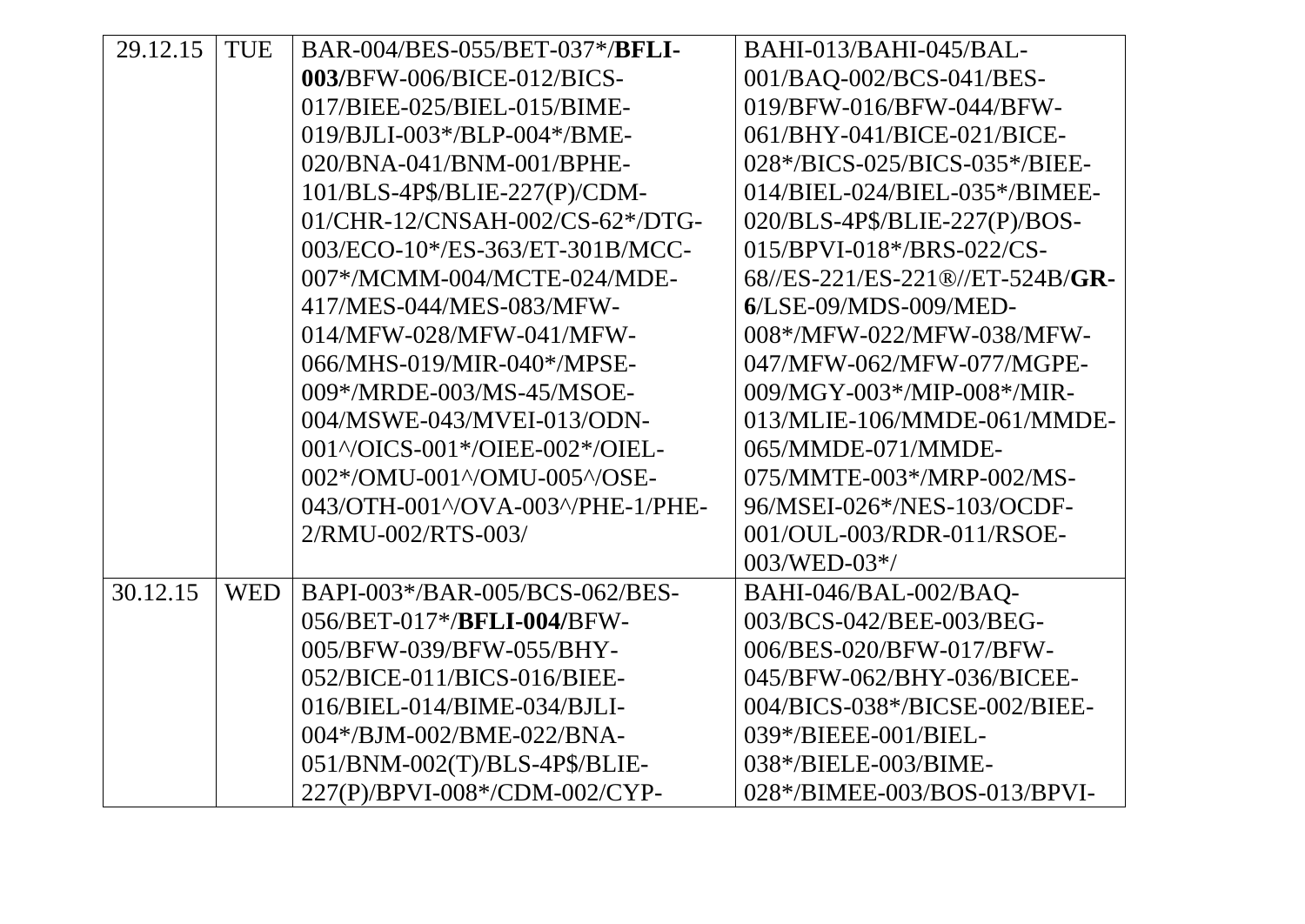| 29.12.15 | <b>TUE</b> | BAR-004/BES-055/BET-037*/BFLI-      | BAHI-013/BAHI-045/BAL-          |
|----------|------------|-------------------------------------|---------------------------------|
|          |            | 003/BFW-006/BICE-012/BICS-          | 001/BAQ-002/BCS-041/BES-        |
|          |            | 017/BIEE-025/BIEL-015/BIME-         | 019/BFW-016/BFW-044/BFW-        |
|          |            | 019/BJLI-003*/BLP-004*/BME-         | 061/BHY-041/BICE-021/BICE-      |
|          |            | 020/BNA-041/BNM-001/BPHE-           | 028*/BICS-025/BICS-035*/BIEE-   |
|          |            | 101/BLS-4P\$/BLIE-227(P)/CDM-       | 014/BIEL-024/BIEL-035*/BIMEE-   |
|          |            | 01/CHR-12/CNSAH-002/CS-62*/DTG-     | 020/BLS-4P\$/BLIE-227(P)/BOS-   |
|          |            | 003/ECO-10*/ES-363/ET-301B/MCC-     | 015/BPVI-018*/BRS-022/CS-       |
|          |            | 007*/MCMM-004/MCTE-024/MDE-         | 68//ES-221/ES-221®//ET-524B/GR- |
|          |            | 417/MES-044/MES-083/MFW-            | $6$ /LSE-09/MDS-009/MED-        |
|          |            | 014/MFW-028/MFW-041/MFW-            | 008*/MFW-022/MFW-038/MFW-       |
|          |            | 066/MHS-019/MIR-040*/MPSE-          | 047/MFW-062/MFW-077/MGPE-       |
|          |            | 009*/MRDE-003/MS-45/MSOE-           | 009/MGY-003*/MIP-008*/MIR-      |
|          |            | 004/MSWE-043/MVEI-013/ODN-          | 013/MLIE-106/MMDE-061/MMDE-     |
|          |            | 001^/OICS-001*/OIEE-002*/OIEL-      | 065/MMDE-071/MMDE-              |
|          |            | 002*/OMU-001^/OMU-005^/OSE-         | 075/MMTE-003*/MRP-002/MS-       |
|          |            | 043/OTH-001^/OVA-003^/PHE-1/PHE-    | 96/MSEI-026*/NES-103/OCDF-      |
|          |            | 2/RMU-002/RTS-003/                  | 001/OUL-003/RDR-011/RSOE-       |
|          |            |                                     | $003/WED-03*/$                  |
| 30.12.15 | <b>WED</b> | BAPI-003*/BAR-005/BCS-062/BES-      | BAHI-046/BAL-002/BAQ-           |
|          |            | 056/BET-017*/ <b>BFLI-004/</b> BFW- | 003/BCS-042/BEE-003/BEG-        |
|          |            | 005/BFW-039/BFW-055/BHY-            | 006/BES-020/BFW-017/BFW-        |
|          |            | 052/BICE-011/BICS-016/BIEE-         | 045/BFW-062/BHY-036/BICEE-      |
|          |            | 016/BIEL-014/BIME-034/BJLI-         | 004/BICS-038*/BICSE-002/BIEE-   |
|          |            | 004*/BJM-002/BME-022/BNA-           | 039*/BIEEE-001/BIEL-            |
|          |            | 051/BNM-002(T)/BLS-4P\$/BLIE-       | 038*/BIELE-003/BIME-            |
|          |            | 227(P)/BPVI-008*/CDM-002/CYP-       | 028*/BIMEE-003/BOS-013/BPVI-    |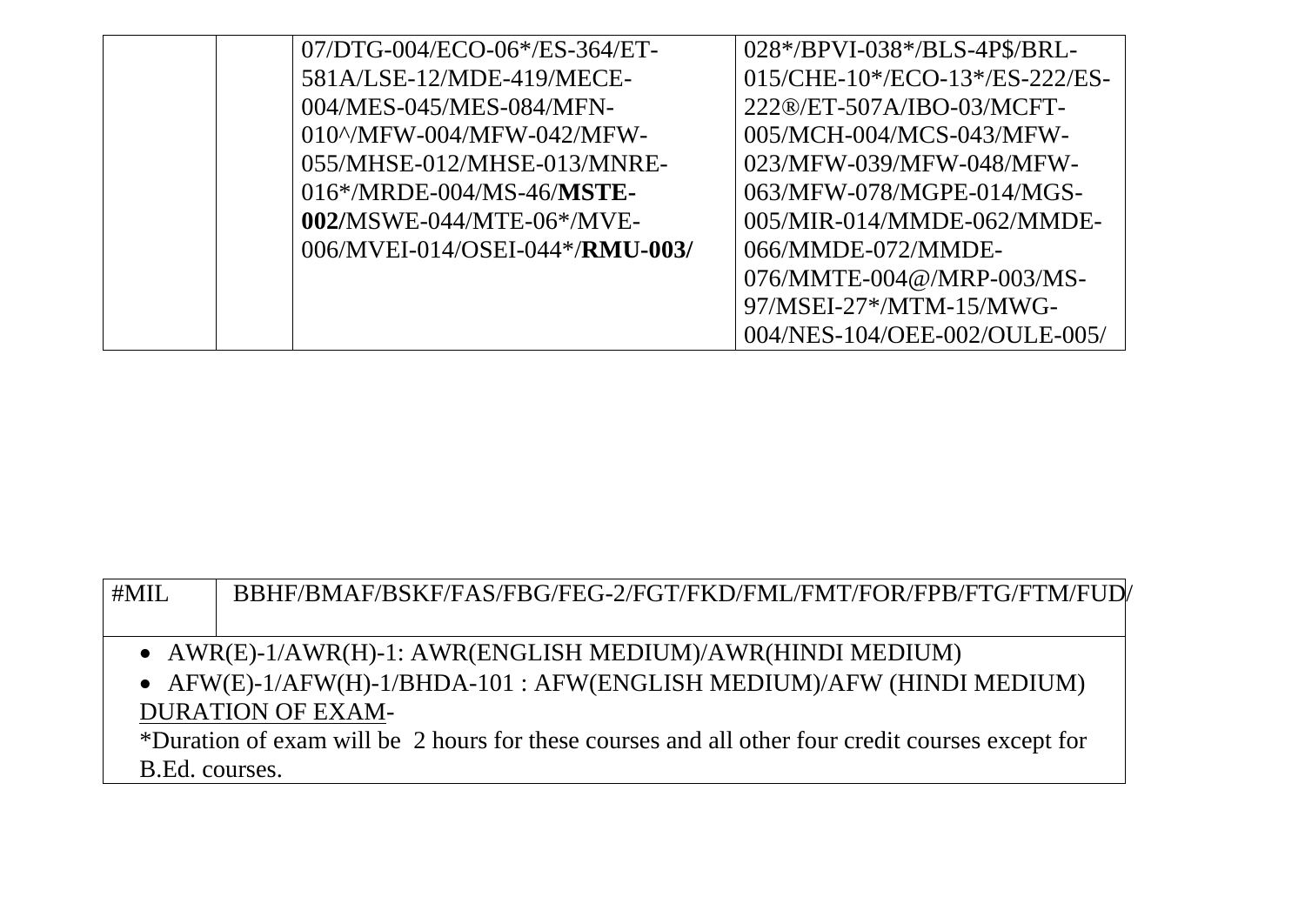| $07/DTG - 004/ECO - 06*/ES - 364/ET -$     | 028*/BPVI-038*/BLS-4P\$/BRL-   |
|--------------------------------------------|--------------------------------|
| 581A/LSE-12/MDE-419/MECE-                  | 015/CHE-10*/ECO-13*/ES-222/ES- |
| 004/MES-045/MES-084/MFN-                   | 222®/ET-507A/IBO-03/MCFT-      |
| $010^{\circ}/\text{MFW}$ -004/MFW-042/MFW- | 005/MCH-004/MCS-043/MFW-       |
| 055/MHSE-012/MHSE-013/MNRE-                | 023/MFW-039/MFW-048/MFW-       |
| $016*/MRDE-004/MS-46/MSTE-$                | 063/MFW-078/MGPE-014/MGS-      |
| $002/MSWE-044/MTE-06*/MVE-$                | 005/MIR-014/MMDE-062/MMDE-     |
| 006/MVEI-014/OSEI-044*/RMU-003/            | 066/MMDE-072/MMDE-             |
|                                            | 076/MMTE-004@/MRP-003/MS-      |
|                                            | 97/MSEI-27*/MTM-15/MWG-        |
|                                            | 004/NES-104/OEE-002/OULE-005/  |

| #MIL                                                                                             | BBHF/BMAF/BSKF/FAS/FBG/FEG-2/FGT/FKD/FML/FMT/FOR/FPB/FTG/FTM/FUD/ |  |
|--------------------------------------------------------------------------------------------------|-------------------------------------------------------------------|--|
|                                                                                                  |                                                                   |  |
| • $AWR(E)-1/AWR(H)-1$ : AWR(ENGLISH MEDIUM)/AWR(HINDI MEDIUM)                                    |                                                                   |  |
| • $AFW(E)-1/AFW(H)-1/BHDA-101$ : $AFW(ENGLISH MEDIUM)/AFW(HINDI MEDIUM)$                         |                                                                   |  |
| <b>DURATION OF EXAM-</b>                                                                         |                                                                   |  |
| *Duration of exam will be 2 hours for these courses and all other four credit courses except for |                                                                   |  |
| B.Ed. courses.                                                                                   |                                                                   |  |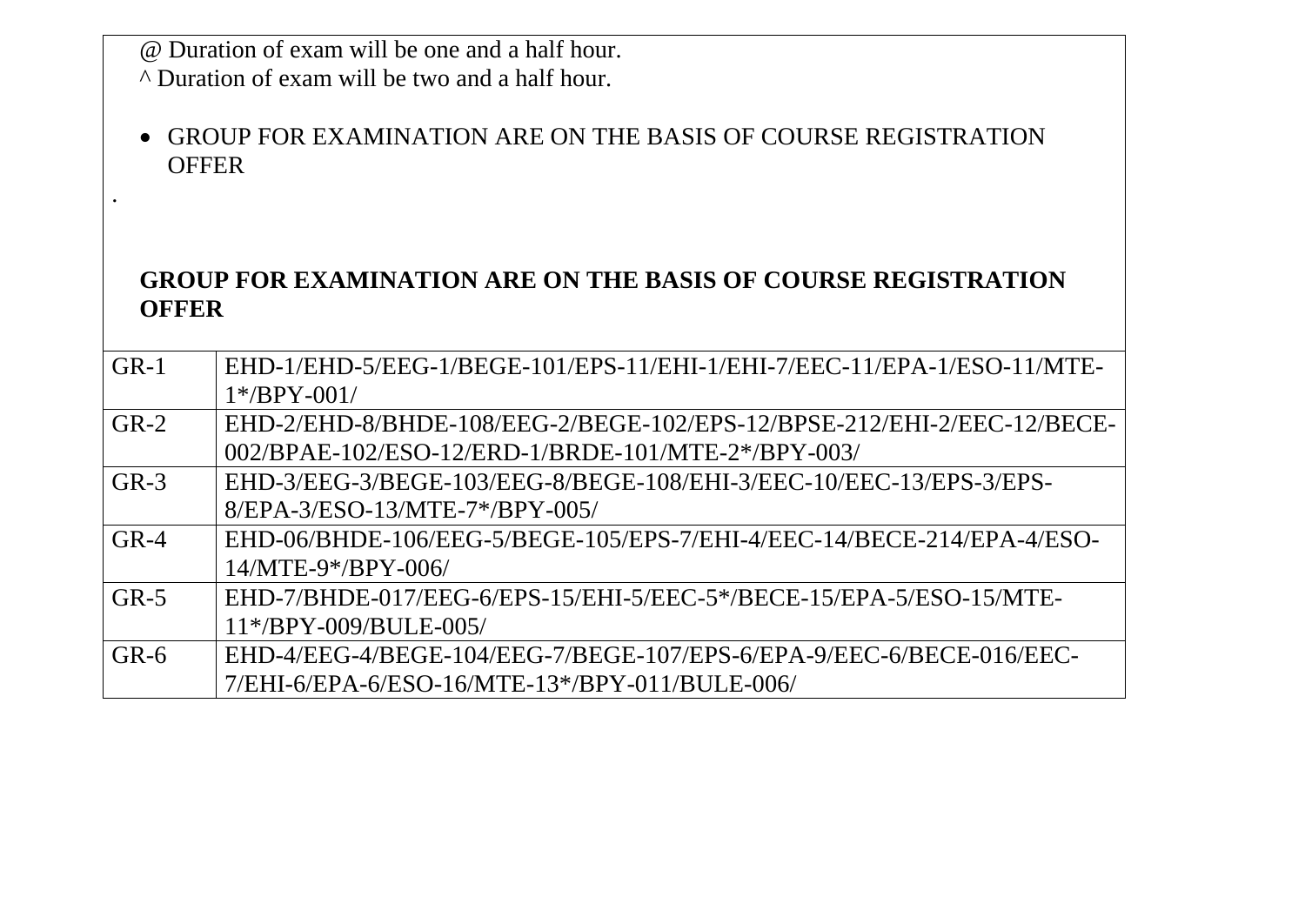@ Duration of exam will be one and a half hour.

^ Duration of exam will be two and a half hour.

.

 GROUP FOR EXAMINATION ARE ON THE BASIS OF COURSE REGISTRATION **OFFER** 

## **GROUP FOR EXAMINATION ARE ON THE BASIS OF COURSE REGISTRATION OFFER**

| $GR-1$ | EHD-1/EHD-5/EEG-1/BEGE-101/EPS-11/EHI-1/EHI-7/EEC-11/EPA-1/ESO-11/MTE- |
|--------|------------------------------------------------------------------------|
|        | $1*/BPY-001/$                                                          |
| $GR-2$ | EHD-2/EHD-8/BHDE-108/EEG-2/BEGE-102/EPS-12/BPSE-212/EHI-2/EEC-12/BECE- |
|        | 002/BPAE-102/ESO-12/ERD-1/BRDE-101/MTE-2*/BPY-003/                     |
| $GR-3$ | EHD-3/EEG-3/BEGE-103/EEG-8/BEGE-108/EHI-3/EEC-10/EEC-13/EPS-3/EPS-     |
|        | 8/EPA-3/ESO-13/MTE-7*/BPY-005/                                         |
| $GR-4$ | EHD-06/BHDE-106/EEG-5/BEGE-105/EPS-7/EHI-4/EEC-14/BECE-214/EPA-4/ESO-  |
|        | $14/MTE-9*/BPY-006/$                                                   |
| $GR-5$ | EHD-7/BHDE-017/EEG-6/EPS-15/EHI-5/EEC-5*/BECE-15/EPA-5/ESO-15/MTE-     |
|        | $11*/BPY-009/BULE-005/$                                                |
| $GR-6$ | EHD-4/EEG-4/BEGE-104/EEG-7/BEGE-107/EPS-6/EPA-9/EEC-6/BECE-016/EEC-    |
|        | 7/EHI-6/EPA-6/ESO-16/MTE-13*/BPY-011/BULE-006/                         |